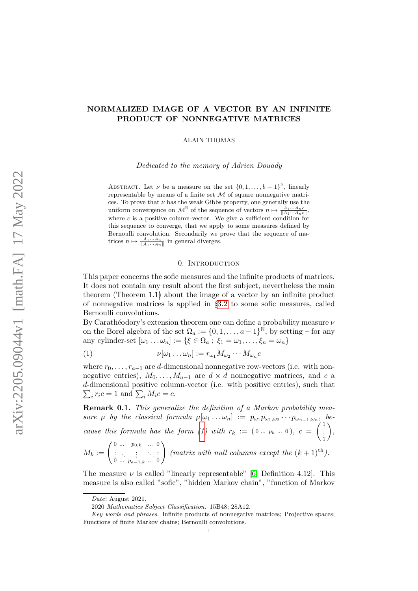# NORMALIZED IMAGE OF A VECTOR BY AN INFINITE PRODUCT OF NONNEGATIVE MATRICES

ALAIN THOMAS

Dedicated to the memory of Adrien Douady

ABSTRACT. Let  $\nu$  be a measure on the set  $\{0, 1, \ldots, b-1\}^{\mathbb{N}}$ , linearly representable by means of a finite set  $M$  of square nonnegative matrices. To prove that  $\nu$  has the weak Gibbs property, one generally use the uniform convergence on  $\mathcal{M}^{\mathbb{N}}$  of the sequence of vectors  $n \mapsto \frac{\tilde{A}_1 \cdots A_n c}{\|A_1 \cdots A_n c\|}$ , where  $c$  is a positive column-vector. We give a sufficient condition for this sequence to converge, that we apply to some measures defined by Bernoulli convolution. Secondarily we prove that the sequence of matrices  $n \mapsto \frac{A_1 \cdots A_n}{\|A_1 \cdots A_n\|}$  in general diverges.

## 0. INTRODUCTION

This paper concerns the sofic measures and the infinite products of matrices. It does not contain any result about the first subject, nevertheless the main theorem (Theorem [1.1\)](#page-4-0) about the image of a vector by an infinite product of nonnegative matrices is applied in §[3.2](#page-12-0) to some sofic measures, called Bernoulli convolutions.

By Carathéodory's extension theorem one can define a probability measure  $\nu$ on the Borel algebra of the set  $\Omega_a := \{0, 1, \ldots, a-1\}^{\tilde{N}}$ , by setting – for any any cylinder-set  $[\omega_1 \dots \omega_n] := {\{\xi \in \Omega_a : \xi_1 = \omega_1, \dots, \xi_n = \omega_n\}}$ 

<span id="page-0-0"></span>
$$
(1) \qquad \qquad \nu[\omega_1 \dots \omega_n] := r_{\omega_1} M_{\omega_2} \cdots M_{\omega_n} c
$$

where  $r_0, \ldots, r_{a-1}$  are d-dimensional nonnegative row-vectors (i.e. with nonnegative entries),  $M_0, \ldots, M_{a-1}$  are  $d \times d$  nonnegative matrices, and c a d -dimensional positive column-vector (i.e. with positive entries), such that  $\sum_i r_i c = 1$  and  $\sum_i M_i c = c$ .

Remark 0.1. This generalize the definition of a Markov probability measure  $\mu$  by the classical formula  $\mu[\omega_1 \dots \omega_n] := p_{\omega_1} p_{\omega_1, \omega_2} \cdots p_{\omega_{n-1}, \omega_n}$ , be-cause this formula has the form [\(1\)](#page-0-0) with  $r_k := (0 \dots p_k \dots 0), c =$  $\begin{pmatrix} 1 \\ \vdots \end{pmatrix}$  $M_k := \left( \begin{smallmatrix} 0 & ... & p_{0,k} & ... & 0 \ \vdots & \ddots & \vdots & \ddots & \vdots \ 0 & ... & p_{a-1,k} & ... & 0 \end{smallmatrix} \right)$  (matrix with null columns except the  $(k+1)^{\text{th}}$ )  $\bigg),$  $\setminus$ (matrix with null columns except the  $(k+1)$ <sup>th</sup>).

The measure  $\nu$  is called "linearly representable" [\[6,](#page-20-0) Definition 4.12]. This measure is also called "sofic", "hidden Markov chain", "function of Markov

Date: August 2021.

<sup>2020</sup> Mathematics Subject Classification. 15B48; 28A12.

Key words and phrases. Infinite products of nonnegative matrices; Projective spaces; Functions of finite Markov chains; Bernoulli convolutions.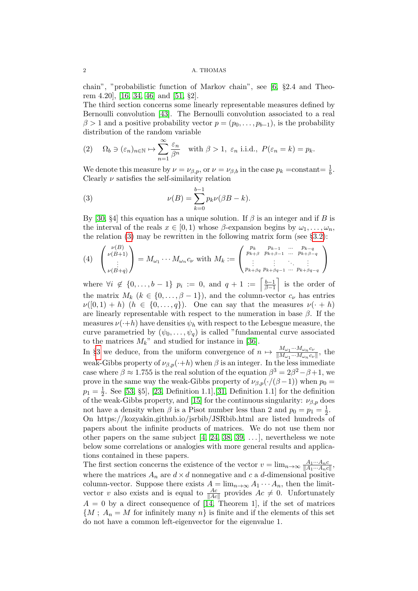chain", "probabilistic function of Markov chain", see [\[6,](#page-20-0) §2.4 and Theorem 4.20], [\[16,](#page-20-1) [34,](#page-21-0) [46\]](#page-22-0) and [\[51,](#page-22-1) §2].

The third section concerns some linearly representable measures defined by Bernoulli convolution [\[43\]](#page-22-2). The Bernoulli convolution associated to a real  $\beta > 1$  and a positive probability vector  $p = (p_0, \ldots, p_{b-1})$ , is the probability distribution of the random variable

<span id="page-1-1"></span>(2) 
$$
\Omega_b \ni (\varepsilon_n)_{n \in \mathbb{N}} \mapsto \sum_{n=1}^{\infty} \frac{\varepsilon_n}{\beta^n}
$$
 with  $\beta > 1$ ,  $\varepsilon_n$  i.i.d.,  $P(\varepsilon_n = k) = p_k$ .

We denote this measure by  $\nu = \nu_{\beta,p}$ , or  $\nu = \nu_{\beta,b}$  in the case  $p_k$  =constant=  $\frac{1}{b}$ . Clearly  $\nu$  satisfies the self-similarity relation

<span id="page-1-0"></span>(3) 
$$
\nu(B) = \sum_{k=0}^{b-1} p_k \nu(\beta B - k).
$$

By [\[30,](#page-21-1) §4] this equation has a unique solution. If  $\beta$  is an integer and if B is the interval of the reals  $x \in [0,1)$  whose  $\beta$ -expansion begins by  $\omega_1, \ldots, \omega_n$ . the relation [\(3\)](#page-1-0) may be rewritten in the following matrix form (see  $\S 3.2$ ):

<span id="page-1-2"></span>
$$
(4) \quad \begin{pmatrix} \nu(B) \\ \nu(B+1) \\ \vdots \\ \nu(B+q) \end{pmatrix} = M_{\omega_1} \cdots M_{\omega_n} c_{\nu} \text{ with } M_k := \begin{pmatrix} p_k & p_{k-1} & \dots & p_{k-q} \\ p_{k+\beta} & p_{k+\beta-1} & \dots & p_{k+\beta-q} \\ \vdots & \vdots & \ddots & \vdots \\ p_{k+\beta q} & p_{k+\beta q-1} & \dots & p_{k+\beta q-q} \end{pmatrix}
$$

where  $\forall i \notin \{0, \ldots, b-1\}$   $p_i := 0$ , and  $q+1 := \left[\frac{b-1}{\beta-1}\right]$  $\left[\frac{b-1}{\beta-1}\right]$  is the order of the matrix  $M_k$   $(k \in \{0, ..., \beta - 1\})$ , and the column-vector  $c_{\nu}$  has entries  $\nu([0,1)+h)$   $(h \in \{0,\ldots,q\})$ . One can say that the measures  $\nu(\cdot+h)$ are linearly representable with respect to the numeration in base  $\beta$ . If the measures  $\nu(\cdot+h)$  have densities  $\psi_h$  with respect to the Lebesgue measure, the curve parametried by  $(\psi_0, \ldots, \psi_q)$  is called "fundamental curve associated to the matrices  $M_k$ " and studied for instance in [\[36\]](#page-21-2).

In §[3](#page-9-0) we deduce, from the uniform convergence of  $n \mapsto \frac{M_{\omega_1} \cdots M_{\omega_n} c_{\nu_n}}{||M_{\omega_1} \cdots M_{\omega_n} c_{\nu_n}||_2}$  $\frac{m_{\omega_1} \cdots m_{\omega_n} c_{\nu}}{||M_{\omega_1} \cdots M_{\omega_n} c_{\nu}||}$ , the weak-Gibbs property of  $\nu_{\beta,p}(\cdot+h)$  when  $\beta$  is an integer. In the less immediate case where  $\beta \approx 1.755$  is the real solution of the equation  $\beta^3 = 2\beta^2 - \beta + 1$ , we prove in the same way the weak-Gibbs property of  $\nu_{\beta,p}(\cdot/(\beta-1))$  when  $p_0 =$  $p_1 = \frac{1}{2}$  $\frac{1}{2}$ . See [\[53,](#page-22-3) §5], [\[23,](#page-21-3) Definition 1.1], [\[31,](#page-21-4) Definition 1.1] for the definition of the weak-Gibbs property, and [\[15\]](#page-20-2) for the continuous singularity:  $\nu_{\beta,p}$  does not have a density when  $\beta$  is a Pisot number less than 2 and  $p_0 = p_1 = \frac{1}{2}$  $rac{1}{2}$ . On https://kozyakin.github.io/jsrbib/JSRbib.html are listed hundreds of papers about the infinite products of matrices. We do not use them nor other papers on the same subject  $[4, 24, 38, 39, \ldots]$  $[4, 24, 38, 39, \ldots]$  $[4, 24, 38, 39, \ldots]$  $[4, 24, 38, 39, \ldots]$  $[4, 24, 38, 39, \ldots]$ , nevertheless we note below some correlations or analogies with more general results and applications contained in these papers.

The first section concerns the existence of the vector  $v = \lim_{n \to \infty} \frac{A_1 \cdots A_n c_n}{\|A_1 \cdots A_n c_n\|}$  $\frac{A_1\cdots A_nc}{\|A_1\cdots A_nc\|},$ where the matrices  $A_n$  are  $d \times d$  nonnegative and c a d-dimensional positive column-vector. Suppose there exists  $A = \lim_{n \to \infty} A_1 \cdots A_n$ , then the limitvector v also exists and is equal to  $\frac{Ac}{\|Ac\|}$  provides  $Ac \neq 0$ . Unfortunately  $A = 0$  by a direct consequence of [\[14,](#page-20-4) Theorem 1], if the set of matrices  ${M$ ;  $A_n = M$  for infinitely many  $n$  is finite and if the elements of this set do not have a common left-eigenvector for the eigenvalue 1.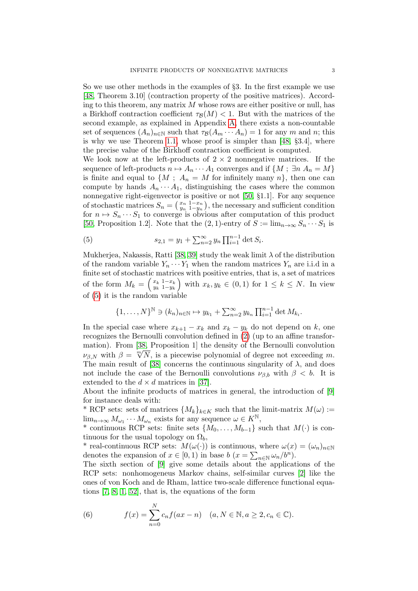So we use other methods in the examples of §3. In the first example we use [\[48,](#page-22-6) Theorem 3.10] (contraction property of the positive matrices). According to this theorem, any matrix  $M$  whose rows are either positive or null, has a Birkhoff contraction coefficient  $\tau_{\mathcal{B}}(M) < 1$ . But with the matrices of the second example, as explained in Appendix [A,](#page-13-0) there exists a non-countable set of sequences  $(A_n)_{n\in\mathbb{N}}$  such that  $\tau_{\mathcal{B}}(A_m \cdots A_n) = 1$  for any m and n; this is why we use Theorem [1.1,](#page-4-0) whose proof is simpler than [\[48,](#page-22-6) §3.4], where the precise value of the Birkhoff contraction coefficient is computed.

We look now at the left-products of  $2 \times 2$  nonnegative matrices. If the sequence of left-products  $n \mapsto A_n \cdots A_1$  converges and if  $\{M; \exists n A_n = M\}$ is finite and equal to  $\{M; A_n = M \text{ for infinitely many } n\}$ , then one can compute by hands  $A_n \cdots A_1$ , distinguishing the cases where the common nonnegative right-eigenvector is positive or not [\[50,](#page-22-7) §1.1]. For any sequence of stochastic matrices  $S_n = \left(\frac{x_n}{y_n} \frac{1-x_n}{1-y_n}\right)$ , the necessary and sufficient condition for  $n \mapsto S_n \cdots S_1$  to converge is obvious after computation of this product [\[50,](#page-22-7) Proposition 1.2]. Note that the  $(2, 1)$ -entry of  $S := \lim_{n\to\infty} S_n \cdots S_1$  is

<span id="page-2-0"></span>(5) 
$$
s_{2,1} = y_1 + \sum_{n=2}^{\infty} y_n \prod_{i=1}^{n-1} \det S_i.
$$

Mukherjea, Nakassis, Ratti [\[38,](#page-22-4) [39\]](#page-22-5) study the weak limit  $\lambda$  of the distribution of the random variable  $Y_n \cdots Y_1$  when the random matrices  $Y_n$  are i.i.d in a finite set of stochastic matrices with positive entries, that is, a set of matrices of the form  $M_k = \begin{pmatrix} x_k & 1-x_k \\ y_k & 1-y_k \end{pmatrix}$  $\begin{array}{c}\n\mathbf{x}_k & 1-x_k \\
\mathbf{y}_k & 1-y_k\n\end{array}$  with  $x_k, y_k \in (0,1)$  for  $1 \leq k \leq N$ . In view of [\(5\)](#page-2-0) it is the random variable

$$
\{1,\ldots,N\}^{\mathbb{N}}\ni(k_n)_{n\in\mathbb{N}}\mapsto y_{k_1}+\sum_{n=2}^{\infty}y_{k_n}\prod_{i=1}^{n-1}\det M_{k_i}.
$$

In the special case where  $x_{k+1} - x_k$  and  $x_k - y_k$  do not depend on k, one recognizes the Bernoulli convolution defined in [\(2\)](#page-1-1) (up to an affine transformation). From [\[38,](#page-22-4) Proposition 1] the density of the Bernoulli convolution mation). From [58, Proposition 1] the density of the Bernouin convolution  $\nu_{\beta,N}$  with  $\beta = \sqrt[m]{N}$ , is a piecewise polynomial of degree not exceeding m. The main result of [\[38\]](#page-22-4) concerns the continuous singularity of  $\lambda$ , and does not include the case of the Bernoulli convolutions  $\nu_{\beta,b}$  with  $\beta < b$ . It is extended to the  $d \times d$  matrices in [\[37\]](#page-22-8).

About the infinite products of matrices in general, the introduction of [\[9\]](#page-20-5) for instance deals with:

\* RCP sets: sets of matrices  $\{M_k\}_{k\in K}$  such that the limit-matrix  $M(\omega)$ :=  $\lim_{n\to\infty} M_{\omega_1}\cdots M_{\omega_n}$  exists for any sequence  $\omega \in K^{\mathbb{N}},$ 

\* continuous RCP sets: finite sets  $\{M_0, \ldots, M_{b-1}\}\$  such that  $M(\cdot)$  is continuous for the usual topology on  $\Omega_b$ ,

<sup>\*</sup> real-continuous RCP sets:  $M(\omega(\cdot))$  is continuous, where  $\omega(x) = (\omega_n)_{n \in \mathbb{N}}$ denotes the expansion of  $x \in [0,1)$  in base  $b(x = \sum_{n \in \mathbb{N}} \omega_n/b^n)$ .

The sixth section of [\[9\]](#page-20-5) give some details about the applications of the RCP sets: nonhomogeneus Markov chains, self-similar curves [\[2\]](#page-20-6) like the ones of von Koch and de Rham, lattice two-scale difference functional equations [\[7,](#page-20-7) [8,](#page-20-8) [1,](#page-20-9) [52\]](#page-22-9), that is, the equations of the form

<span id="page-2-1"></span>(6) 
$$
f(x) = \sum_{n=0}^{N} c_n f(ax - n) \quad (a, N \in \mathbb{N}, a \ge 2, c_n \in \mathbb{C}).
$$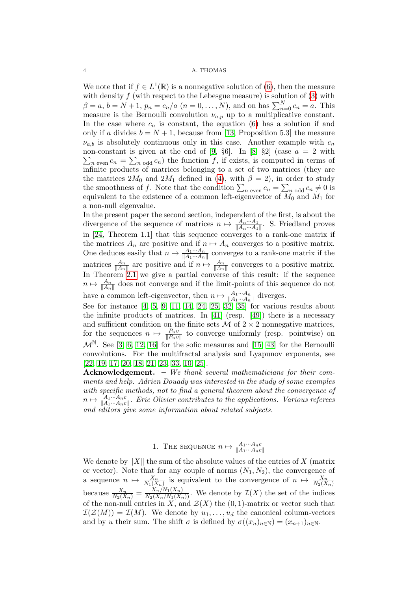We note that if  $f \in L^1(\mathbb{R})$  is a nonnegative solution of [\(6\)](#page-2-1), then the measure with density  $f$  (with respect to the Lebesgue measure) is solution of  $(3)$  with  $\beta = a, b = N + 1, p_n = c_n/a \ (n = 0, \dots, N)$ , and on has  $\sum_{n=0}^{N} c_n = a$ . This measure is the Bernoulli convolution  $\nu_{a,p}$  up to a multiplicative constant. In the case where  $c_n$  is constant, the equation [\(6\)](#page-2-1) has a solution if and only if a divides  $b = N + 1$ , because from [\[13,](#page-20-10) Proposition 5.3] the measure  $\nu_{a,b}$  is absolutely continuous only in this case. Another example with  $c_n$ non-constant is given at the end of  $[9, 66]$  $[9, 66]$ . In  $[8, 62]$  $[8, 62]$  (case  $a = 2$  with  $\sum_{n \text{ even}} c_n = \sum_{n \text{ odd}} c_n$  the function f, if exists, is computed in terms of infinite products of matrices belonging to a set of two matrices (they are the matrices  $2M_0$  and  $2M_1$  defined in [\(4\)](#page-1-2), with  $\beta = 2$ ), in order to study the smoothness of f. Note that the condition  $\sum_{n \text{ even}} c_n = \sum_{n \text{ odd}} c_n \neq 0$  is equivalent to the existence of a common left-eigenvector of  $M_0$  and  $M_1$  for a non-null eigenvalue.

In the present paper the second section, independent of the first, is about the divergence of the sequence of matrices  $n \mapsto \frac{A_n \cdots A_1}{\|A_n \cdots A_1\|}$ . S. Friedland proves in [\[24,](#page-21-5) Theorem 1.1] that this sequence converges to a rank-one matrix if the matrices  $A_n$  are positive and if  $n \mapsto A_n$  converges to a positive matrix. One deduces easily that  $n \mapsto \frac{A_1 \cdots A_n}{\|A_1 \cdots A_n\|}$  converges to a rank-one matrix if the matrices  $\frac{A_n}{\|A_n\|}$  are positive and if  $n \mapsto \frac{A_n}{\|A_n\|}$  converges to a positive matrix. In Theorem [2.1](#page-6-0) we give a partial converse of this result: if the sequence  $n \mapsto \frac{A_n}{\|A_n\|}$  does not converge and if the limit-points of this sequence do not have a common left-eigenvector, then  $n \mapsto \frac{A_1 \cdots A_n}{\|A_1 \cdots A_n\|}$  diverges.

See for instance  $[4, 5, 9, 11, 14, 24, 25, 32, 35]$  $[4, 5, 9, 11, 14, 24, 25, 32, 35]$  $[4, 5, 9, 11, 14, 24, 25, 32, 35]$  $[4, 5, 9, 11, 14, 24, 25, 32, 35]$  $[4, 5, 9, 11, 14, 24, 25, 32, 35]$  $[4, 5, 9, 11, 14, 24, 25, 32, 35]$  $[4, 5, 9, 11, 14, 24, 25, 32, 35]$  $[4, 5, 9, 11, 14, 24, 25, 32, 35]$  $[4, 5, 9, 11, 14, 24, 25, 32, 35]$  for various results about the infinite products of matrices. In [\[41\]](#page-22-10) (resp. [\[49\]](#page-22-11)) there is a necessary and sufficient condition on the finite sets  $\mathcal M$  of  $2 \times 2$  nonnegative matrices, for the sequences  $n \mapsto \frac{P_n v}{\|P_n v\|}$  to converge uniformly (resp. pointwise) on  $\mathcal{M}^{\mathbb{N}}$ . See [\[3,](#page-20-13) [6,](#page-20-0) [12,](#page-20-14) [16\]](#page-20-1) for the sofic measures and [\[15,](#page-20-2) [43\]](#page-22-2) for the Bernoulli convolutions. For the multifractal analysis and Lyapunov exponents, see [\[22,](#page-21-9) [19,](#page-21-10) [17,](#page-20-15) [20,](#page-21-11) [18,](#page-20-16) [21,](#page-21-12) [23,](#page-21-3) [33,](#page-21-13) [10,](#page-20-17) [25\]](#page-21-6).

Acknowledgement. – We thank several mathematicians for their comments and help. Adrien Douady was interested in the study of some examples with specific methods, not to find a general theorem about the convergence of  $n \mapsto \frac{A_1 \cdots A_n c}{\|A_1 \cdots A_n c\|}$ . Eric Olivier contributes to the applications. Various referees and editors give some information about related subjects.

1. THE SEQUENCE  $n \mapsto \frac{A_1 \cdots A_n c}{\|A_1 \cdots A_n c\|}$ 

We denote by  $||X||$  the sum of the absolute values of the entries of X (matrix or vector). Note that for any couple of norms  $(N_1, N_2)$ , the convergence of a sequence  $n \mapsto \frac{X_n}{N_1(X_n)}$  is equivalent to the convergence of  $n \mapsto \frac{X_n}{N_2(X_n)}$ because  $\frac{X_n}{N_2(X_n)} = \frac{X_n/N_1(X_n)}{N_2(X_n/N_1(X_n))}$ . We denote by  $\mathcal{I}(X)$  the set of the indices of the non-null entries in X, and  $\mathcal{Z}(X)$  the  $(0, 1)$ -matrix or vector such that  $\mathcal{I}(\mathcal{Z}(M)) = \mathcal{I}(M)$ . We denote by  $u_1, \ldots, u_d$  the canonical column-vectors and by u their sum. The shift  $\sigma$  is defined by  $\sigma((x_n)_{n\in\mathbb{N}})=(x_{n+1})_{n\in\mathbb{N}}$ .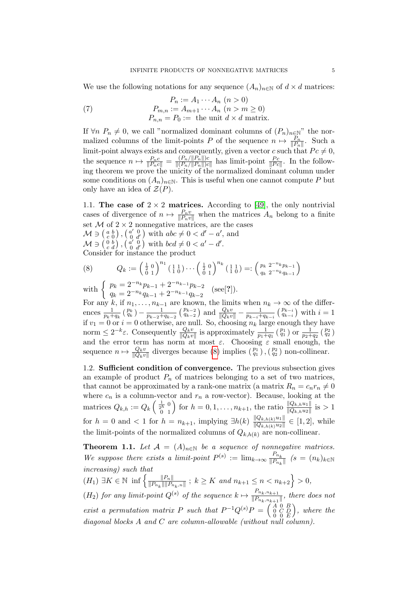We use the following notations for any sequence  $(A_n)_{n\in\mathbb{N}}$  of  $d\times d$  matrices:

(7) 
$$
P_n := A_1 \cdots A_n \quad (n > 0)
$$

$$
P_{m,n} := A_{m+1} \cdots A_n \quad (n > m \ge 0)
$$

$$
P_{n,n} = P_0 := \text{the unit } d \times d \text{ matrix.}
$$

If  $\forall n \ P_n \neq 0$ , we call "normalized dominant columns of  $(P_n)_{n \in \mathbb{N}}$ " the normalized columns of the limit-points P of the sequence  $n \mapsto \frac{P_n}{\|P_n\|}$ . Such a limit-point always exists and consequently, given a vector c such that  $Pc \neq 0$ , the sequence  $n \mapsto \frac{P_n c}{\|P_n c\|} = \frac{(P_n / \|P_n\|) c}{\|(P_n / \|P_n\|) c}$  $\frac{(P_n/||P_n||)c}{||(P_n/||P_n||)c||}$  has limit-point  $\frac{P_c}{||P_c||}$ . In the following theorem we prove the unicity of the normalized dominant column under some conditions on  $(A_n)_{n\in\mathbb{N}}$ . This is useful when one cannot compute P but only have an idea of  $\mathcal{Z}(P)$ .

1.1. The case of  $2 \times 2$  matrices. According to [\[49\]](#page-22-11), the only nontrivial cases of divergence of  $n \mapsto \frac{P_n v}{\|P_n v\|}$  when the matrices  $A_n$  belong to a finite set  $M$  of  $2 \times 2$  nonnegative matrices, are the cases  $\mathcal{M} \ni \left( \begin{smallmatrix} a & b \\ c & 0 \end{smallmatrix} \right), \left( \begin{smallmatrix} a' & 0 \\ 0 & d' \end{smallmatrix} \right)$  with  $abc \neq 0 < d' - a'$ , and

 $\mathcal{M} \ni \begin{pmatrix} 0 & b \\ c & d \end{pmatrix}, \begin{pmatrix} a' & 0 \\ 0 & d' \end{pmatrix}$  with  $bcd \neq 0 < a' - d'$ .

Consider for instance the product

<span id="page-4-1"></span>
$$
(8) \qquad Q_k := \left(\begin{matrix} \frac{1}{2} & 0\\ 0 & 1 \end{matrix}\right)^{n_1} \left(\begin{matrix} 1 & 1\\ 1 & 0 \end{matrix}\right) \cdots \left(\begin{matrix} \frac{1}{2} & 0\\ 0 & 1 \end{matrix}\right)^{n_k} \left(\begin{matrix} 1 & 1\\ 1 & 0 \end{matrix}\right) =: \left(\begin{matrix} p_k & 2^{-n_k} p_{k-1}\\ q_k & 2^{-n_k} q_{k-1} \end{matrix}\right)
$$

with  $\begin{cases} p_k = 2^{-n_k} p_{k-1} + 2^{-n_{k-1}} p_{k-2} \\ \dots \\ p_{n-k-1} = 2^{-n_{k-1}} p_{k-1} \end{cases}$  $q_k = 2^{-n_k} q_{k-1} + 2^{-n_{k-1}} q_{k-2}$  (see[?]).

For any k, if  $n_1, \ldots, n_{k-1}$  are known, the limits when  $n_k \to \infty$  of the differences  $\frac{1}{p_k+q_k}$   $\left(\frac{p_k}{q_k}\right) - \frac{1}{p_{k-2}+q_k}$  $\frac{1}{p_{k-2}+q_{k-2}}\left(\frac{p_{k-2}}{q_{k-2}}\right)$  and  $\frac{Q_kv}{\|Q_kv\|} - \frac{1}{p_{k-i}+q_{k-2}}$  $\frac{1}{p_{k-i}+q_{k-i}}\left(\begin{smallmatrix}p_{k-i}\\q_{k-i}\end{smallmatrix}\right)$  with  $i=1$ if  $v_1 = 0$  or  $i = 0$  otherwise, are null. So, choosing  $n_k$  large enough they have norm  $\leq 2^{-k}\varepsilon$ . Consequently  $\frac{Q_k v}{\|Q_k v\|}$  is approximately  $\frac{1}{p_1+q_1}$   $\binom{p_1}{q_1}$  or  $\frac{1}{p_2+q_2}$   $\binom{p_2}{q_2}$ and the error term has norm at most  $\varepsilon$ . Choosing  $\varepsilon$  small enough, the sequence  $n \mapsto \frac{Q_k v}{\|Q_k v\|}$  diverges because [\(8\)](#page-4-1) implies  $\binom{p_1}{q_1}$ ,  $\binom{p_2}{q_2}$  non-collinear.

1.2. Sufficient condition of convergence. The previous subsection gives an example of product  $P_n$  of matrices belonging to a set of two matrices, that cannot be approximated by a rank-one matrix (a matrix  $R_n = c_n r_n \neq 0$ where  $c_n$  is a column-vector and  $r_n$  a row-vector). Because, looking at the matrices  $Q_{k,h} := Q_k \left( \frac{\frac{1}{2h} 0}{0} \right)$  for  $h = 0, 1, ..., n_{k+1}$ , the ratio  $\frac{\|Q_{k,h}u_1\|}{\|Q_{k,h}u_2\|}$  is  $> 1$ for  $h = 0$  and  $\lt 1$  for  $h = n_{k+1}$ , implying  $\exists h(k) \frac{\|Q_{k,h(k)}u_1\|}{\|Q_{k,h(k)}u_2\|}$  $\frac{\|Q_{k,h(k)}u_1\|}{\|Q_{k,h(k)}u_2\|} \in [1,2],$  while the limit-points of the normalized columns of  $Q_{k,h(k)}$  are non-collinear.

<span id="page-4-0"></span>**Theorem 1.1.** Let  $\mathcal{A} = (A)_{n \in \mathbb{N}}$  be a sequence of nonnegative matrices. We suppose there exists a limit-point  $P^{(s)} := \lim_{k \to \infty} \frac{P_{n_k}}{\|P_{n_k}\|}$  $\frac{r_{n_k}}{\|P_{n_k}\|}$   $(s = (n_k)_{k \in \mathbb{N}}$ increasing) such that

 $(H_1) \exists K \in \mathbb{N} \inf \left\{ \frac{\|P_n\|}{\|P_n\| \|P_n\|}$  $\frac{\|P_n\|}{\|P_{n_k}\|\|P_{n_k,n}\|}$ ;  $k \geq K$  and  $n_{k+1} \leq n < n_{k+2}$   $> 0$ ,  $(H_2)$  for any limit-point  $Q^{(s)}$  of the sequence  $k \mapsto \frac{P_{n_k,n_{k+1}}}{\|P_{n_k,n_{k+1}}\|}$  $\frac{n_k, n_{k+1}}{\|P_{n_k,n_{k+1}}\|}$ , there does not exist a permutation matrix P such that  $P^{-1}Q^{(s)}P = \begin{pmatrix} A & 0 & B \\ 0 & C & D \\ 0 & 0 & E \end{pmatrix}$  , where the diagonal blocks A and C are column-allowable (without null column).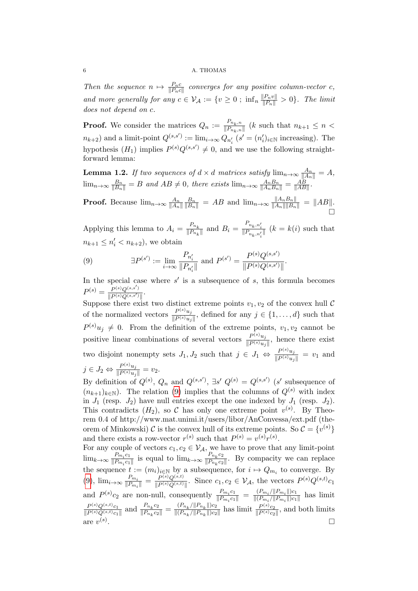Then the sequence  $n \mapsto \frac{P_n c}{\|P_n c\|}$  converges for any positive column-vector c, and more generally for any  $c \in V_{\mathcal{A}} := \{v \geq 0 \; ; \; \inf_n \frac{\|P_n v\|}{\|P_n\|} > 0\}.$  The limit does not depend on c.

**Proof.** We consider the matrices  $Q_n := \frac{P_{n_k,n}}{\|P_{n_k,n}\|}$  (k such that  $n_{k+1} \leq n <$  $n_{k+2}$ ) and a limit-point  $Q^{(s,s')} := \lim_{i \to \infty} Q_{n'_i} (s' = (n'_i)_{i \in \mathbb{N}}$  increasing). The hypothesis  $(H_1)$  implies  $P^{(s)}Q^{(s,s')} \neq 0$ , and we use the following straightforward lemma:

**Lemma 1.2.** If two sequences of  $d \times d$  matrices satisfy  $\lim_{n\to\infty} \frac{A_n}{\|A_n\|} = A$ ,  $\lim_{n\to\infty} \frac{B_n}{\|B_n\|} = B$  and  $AB \neq 0$ , there exists  $\lim_{n\to\infty} \frac{A_n B_n}{\|A_n B_n\|} = \frac{AB}{\|AB\|}$  $\frac{AB}{\|AB\|}$ .

**Proof.** Because  $\lim_{n\to\infty} \frac{A_n}{\|A_n\|}$  $||A_n||$  $\frac{B_n}{\|B_n\|} = AB$  and  $\lim_{n\to\infty} \frac{\|A_n B_n\|}{\|A_n\| \|B_n\|} = \|AB\|.$  $\Box$ 

Applying this lemma to  $A_i = \frac{P_{n_k}}{\|P_{n_k}\|}$  $\frac{P_{n_k}}{\|P_{n_k}\|}$  and  $B_i = \frac{P_{n_k, n'_i}}{\|P_{n_k, n'_i}\|}$   $(k = k(i)$  such that  $n_{k+1} \leq n'_i < n_{k+2}$ , we obtain

<span id="page-5-0"></span>(9) 
$$
\exists P^{(s')} := \lim_{i \to \infty} \frac{P_{n'_i}}{\|P_{n'_i}\|} \text{ and } P^{(s')} = \frac{P^{(s)}Q^{(s,s')}}{\|P^{(s)}Q^{(s,s')} \|}.
$$

In the special case where  $s'$  is a subsequence of  $s$ , this formula becomes  $P^{(s)} = \frac{P^{(s)}Q^{(s,s')}}{\ln P^{(s)}Q^{(s,s')}}$  $\frac{P^{(s)}Q^{(s,s')}}{\|P^{(s)}Q^{(s,s')}\|}.$ 

Suppose there exist two distinct extreme points  $v_1, v_2$  of the convex hull C of the normalized vectors  $\frac{P^{(s)}u_j}{\|P(s)u_j\|}$  $\frac{F^{(s)}u_j}{\|P^{(s)}u_j\|}$ , defined for any  $j \in \{1,\ldots,d\}$  such that  $P^{(s)}u_j \neq 0$ . From the definition of the extreme points,  $v_1, v_2$  cannot be positive linear combinations of several vectors  $\frac{P^{(s)}u_j}{\|P(s)u_j\|}$  $\frac{F^{(s)}u_j}{\|P^{(s)}u_j\|}$ , hence there exist two disjoint nonempty sets  $J_1, J_2$  such that  $j \in J_1 \Leftrightarrow \frac{P^{(s)}u_j}{\|P^{(s)}\|}$  $\frac{F^{(s)}u_j}{\|P^{(s)}u_j\|} = v_1$  and  $j \in J_2 \Leftrightarrow \frac{P^{(s)}u_j}{\|P^{(s)}u_j\|}$  $\frac{F^{(3)}u_j}{\|P^{(s)}u_j\|} = v_2.$ 

By definition of  $Q^{(s)}$ ,  $Q_n$  and  $Q^{(s,s')}$ ,  $\exists s' \ Q^{(s)} = Q^{(s,s')}$  (s' subsequence of  $(n_{k+1})_{k\in\mathbb{N}}$ ). The relation [\(9\)](#page-5-0) implies that the columns of  $Q^{(s)}$  with index in  $J_1$  (resp.  $J_2$ ) have null entries except the one indexed by  $J_1$  (resp.  $J_2$ ). This contradicts  $(H_2)$ , so C has only one extreme point  $v^{(s)}$ . By Theorem 0.4 of http://www.mat.unimi.it/users/libor/AnConvessa/ext.pdf (theorem of Minkowski)  $\mathcal C$  is the convex hull of its extreme points. So  $\mathcal C = \{v^{(s)}\}$ and there exists a row-vector  $r^{(s)}$  such that  $P^{(s)} = v^{(s)}r^{(s)}$ .

For any couple of vectors  $c_1, c_2 \in V_A$ , we have to prove that any limit-point  $\lim_{k\to\infty}\frac{P_{m_i}c_1}{\|P_{m_i}c_1\|}$  $\frac{P_{m_i}c_1}{\|P_{m_i}c_1\|}$  is equal to  $\lim_{k\to\infty} \frac{P_{n_k}c_2}{\|P_{n_k}c_2\|}$  $\frac{P_{n_k}c_2}{\|P_{n_k}c_2\|}$ . By compacity we can replace the sequence  $t := (m_i)_{i \in \mathbb{N}}$  by a subsequence, for  $i \mapsto Q_{m_i}$  to converge. By  $(9)$ ,  $\lim_{i\to\infty} \frac{P_{m_i}}{\|P_m\|}$  $\frac{P_{m_i}}{\|P_{m_i}\|} = \frac{P^{(s)}Q^{(s,t)}}{\|P^{(s)}Q^{(s,t)}}$  $\frac{P^{(s)}Q^{(s,t)}}{\|P^{(s)}Q^{(s,t)}\|}$ . Since  $c_1, c_2 \in \mathcal{V}_{\mathcal{A}}$ , the vectors  $P^{(s)}Q^{(s,t)}c_1$ and  $P^{(s)}c_2$  are non-null, consequently  $\frac{P_{m_i}c_1}{\|P_{m_i}c_1\|}$  $\frac{P_{m_i}c_1}{\|P_{m_i}c_1\|} = \frac{(P_{m_i}/\|P_{m_i}\|)c_1}{\|(P_{m_i}/\|P_{m_i}\|)c_1\|}$  $\frac{(Fm_i/||Fm_i||)C_1}{||(Pm_i/||Pm_i||)C_1||}$  has limit  $P^{(s)}Q^{(s,t)}c_1$  $\frac{P^{(s)}Q^{(s,t)}c_1}{\|P^{(s)}Q^{(s,t)}c_1\|}$  and  $\frac{P_{n_k}c_2}{\|P_{n_k}c_2\|}$  $\frac{P_{n_k}c_2}{\|P_{n_k}c_2\|} = \frac{(P_{n_k}/\|P_{n_k}\|)c_2}{\|(P_{n_k}/\|P_{n_k}\|)c_2}$  $\frac{(P_{n_k}/\|P_{n_k}\|)c_2}{\|(P_{n_k}/\|P_{n_k}\|)c_2\|}$  has limit  $\frac{P^{(s)}c_2}{\|P^{(s)}c_2\|}$  $\frac{P^{(s)}c_2}{\|P^{(s)}c_2\|}$ , and both limits are  $v^{(s)}$ .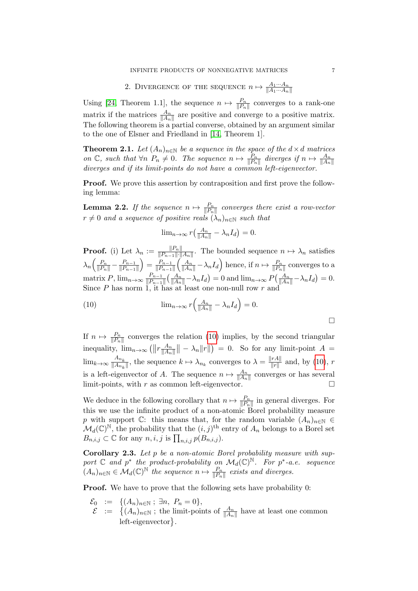# 2. DIVERGENCE OF THE SEQUENCE  $n \mapsto \frac{A_1 \cdots A_n}{\|A_1 \cdots A_n\|}$

Using [\[24,](#page-21-5) Theorem 1.1], the sequence  $n \mapsto \frac{P_n}{\|P_n\|}$  converges to a rank-one matrix if the matrices  $\frac{A_n}{\|A_n\|}$  are positive and converge to a positive matrix. The following theorem is a partial converse, obtained by an argument similar to the one of Elsner and Friedland in [\[14,](#page-20-4) Theorem 1].

<span id="page-6-0"></span>**Theorem 2.1.** Let  $(A_n)_{n\in\mathbb{N}}$  be a sequence in the space of the  $d \times d$  matrices on  $\mathbb{C}$ , such that  $\forall n \ P_n \neq 0$ . The sequence  $n \mapsto \frac{P_n}{\|P_n\|}$  diverges if  $n \mapsto \frac{A_n}{\|A_n\|}$ diverges and if its limit-points do not have a common left-eigenvector.

**Proof.** We prove this assertion by contraposition and first prove the following lemma:

**Lemma 2.2.** If the sequence  $n \mapsto \frac{P_n}{\|P_n\|}$  converges there exist a row-vector  $r \neq 0$  and a sequence of positive reals  $(\lambda_n)_{n \in \mathbb{N}}$  such that

<span id="page-6-1"></span>
$$
\lim_{n\to\infty} r\left(\frac{A_n}{\|A_n\|} - \lambda_n I_d\right) = 0.
$$

**Proof.** (i) Let  $\lambda_n := \frac{\|P_n\|}{\|P_{n-1}\| \cdot \|}$  $\frac{\|P_n\|}{\|P_{n-1}\| \cdot \|A_n\|}$ . The bounded sequence  $n \mapsto \lambda_n$  satisfies  $\lambda_n \left( \frac{P_n}{\|P_n\|} - \frac{P_{n-1}}{\|P_{n-1}\|} \right)$  $||P_{n-1}||$  $= \frac{P_{n-1}}{\mathbb{I}P}$  $||P_{n-1}||$  $\left(\frac{A_n}{\|A_n\|} - \lambda_n I_d\right)$  hence, if  $n \mapsto \frac{P_n}{\|P_n\|}$  converges to a matrix P,  $\lim_{n\to\infty} \frac{P_{n-1}}{\|P_{n-1}\|}$  $\frac{P_{n-1}}{\|P_{n-1}\|}\left(\frac{A_n}{\|A_n\|}-\lambda_nI_d\right)=0$  and  $\lim_{n\to\infty}P\left(\frac{A_n}{\|A_n\|}-\lambda_nI_d\right)=0.$ Since  $P$  has norm 1, it has at least one non-null row  $r$  and

(10) 
$$
\lim_{n \to \infty} r\left(\frac{A_n}{\|A_n\|} - \lambda_n I_d\right) = 0.
$$

If  $n \mapsto \frac{P_n}{\|P_n\|}$  converges the relation [\(10\)](#page-6-1) implies, by the second triangular inequality,  $\lim_{n\to\infty} \left( \left\| r \frac{A_n}{\|A_n\|} \right\| \right)$  $\frac{A_n}{\|A_n\|}\| - \lambda_n \|r\|$  = 0. So for any limit-point  $A =$  $\lim_{k\to\infty} \frac{A_{n_k}}{\|A_{n_k}\|}$  $\frac{A_{n_k}}{\|A_{n_k}\|}$ , the sequence  $k \mapsto \lambda_{n_k}$  converges to  $\lambda = \frac{\|rA\|}{\|r\|}$  $\frac{r_{\text{All}}}{\|r\|}$  and, by [\(10\)](#page-6-1), r is a left-eigenvector of A. The sequence  $n \mapsto \frac{A_n}{\|A_n\|}$  converges or has several limit-points, with  $r$  as common left-eigenvector.  $\Box$ 

We deduce in the following corollary that  $n \mapsto \frac{P_n}{\|P_n\|}$  in general diverges. For this we use the infinite product of a non-atomic Borel probability measure p with support C: this means that, for the random variable  $(A_n)_{n\in\mathbb{N}}$  $\mathcal{M}_d(\mathbb{C})^{\mathbb{N}}$ , the probability that the  $(i, j)^{\text{th}}$  entry of  $A_n$  belongs to a Borel set  $B_{n,i,j} \subset \mathbb{C}$  for any  $n, i, j$  is  $\prod_{n,i,j} p(B_{n,i,j}).$ 

Corollary 2.3. Let p be a non-atomic Borel probability measure with support  $\mathbb C$  and  $p^*$  the product-probability on  $\mathcal M_d(\mathbb C)^{\mathbb N}$ . For  $p^*$ -a.e. sequence  $(A_n)_{n\in\mathbb{N}}\in\mathcal{M}_d(\mathbb{C})^{\mathbb{N}}$  the sequence  $n\mapsto\frac{P_n}{\|P_n\|}$  exists and diverges.

**Proof.** We have to prove that the following sets have probability 0:

- $\mathcal{E}_0$  := { $(A_n)_{n \in \mathbb{N}}$ ;  $\exists n, P_n = 0$ },
- $\mathcal{E}$  :=  $\{(A_n)_{n\in\mathbb{N}}:\text{ the limit-points of }\frac{A_n}{\|A_n\|}\text{ have at least one common }\}$ left-eigenvector }.

 $\Box$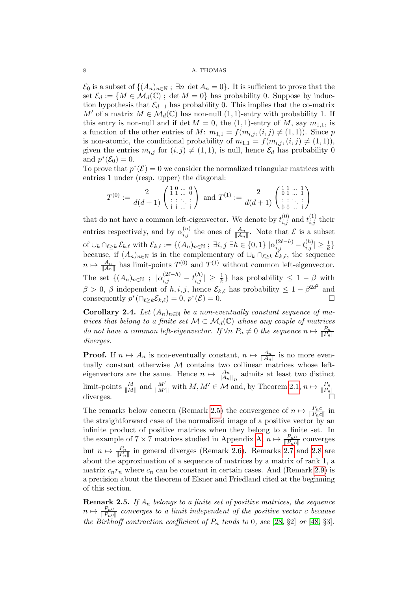$\mathcal{E}_0$  is a subset of  $\{(A_n)_{n\in\mathbb{N}}:\exists n \det A_n=0\}$ . It is sufficient to prove that the set  $\mathcal{E}_d := \{M \in \mathcal{M}_d(\mathbb{C}) \; ; \; \det M = 0\}$  has probability 0. Suppose by induction hypothesis that  $\mathcal{E}_{d-1}$  has probability 0. This implies that the co-matrix M' of a matrix  $M \in \mathcal{M}_d(\mathbb{C})$  has non-null  $(1, 1)$ -entry with probability 1. If this entry is non-null and if det  $M = 0$ , the (1, 1)-entry of M, say  $m_{1,1}$ , is a function of the other entries of M:  $m_{1,1} = f(m_{i,j}, (i,j) \neq (1, 1))$ . Since p is non-atomic, the conditional probability of  $m_{1,1} = f(m_{i,j}, (i,j) \neq (1, 1)),$ given the entries  $m_{i,j}$  for  $(i, j) \neq (1, 1)$ , is null, hence  $\mathcal{E}_d$  has probability 0 and  $p^*(\mathcal{E}_0)=0$ .

To prove that  $p^*(\mathcal{E}) = 0$  we consider the normalized triangular matrices with entries 1 under (resp. upper) the diagonal:

$$
T^{(0)} := \frac{2}{d(d+1)} \begin{pmatrix} 1 & 0 & \cdots & 0 \\ 1 & 1 & \cdots & 0 \\ \vdots & \vdots & \ddots & \vdots \\ 1 & 1 & \cdots & 1 \end{pmatrix} \text{ and } T^{(1)} := \frac{2}{d(d+1)} \begin{pmatrix} 1 & 1 & \cdots & 1 \\ 0 & 1 & \cdots & 1 \\ \vdots & \vdots & \ddots & \vdots \\ 0 & 0 & \cdots & 1 \end{pmatrix}
$$

that do not have a common left-eigenvector. We denote by  $t_{i,j}^{(0)}$  and  $t_{i,j}^{(1)}$  their entries respectively, and by  $\alpha_{i,j}^{(n)}$  the ones of  $\frac{A_n}{\|A_n\|}$ . Note that  $\mathcal E$  is a subset of  $\cup_k \cap_{\ell \geq k} \mathcal{E}_{k,\ell}$  with  $\mathcal{E}_{k,\ell} := \{(A_n)_{n \in \mathbb{N}} : \exists i, j \exists h \in \{0,1\} | \alpha_{i,j}^{(2\ell-h)} - t_{i,j}^{(h)} | \geq \frac{1}{k}\}$ because, if  $(A_n)_{n\in\mathbb{N}}$  is in the complementary of  $\cup_k \cap_{\ell\geq k} \mathcal{E}_{k,\ell}$ , the sequence  $n \mapsto \frac{A_n}{\|A_n\|}$  has limit-points  $T^{(0)}$  and  $T^{(1)}$  without common left-eigenvector. The set  $\{(A_n)_{n\in\mathbb{N}}: |\alpha_{i,j}^{(2\ell-h)} - t_{i,j}^{(h)}| \geq \frac{1}{k}\}\$  has probability  $\leq 1-\beta$  with  $\beta > 0$ ,  $\beta$  independent of  $h, i, j$ , hence  $\mathcal{E}_{k,\ell}$  has probability  $\leq 1 - \beta^{2d^2}$  and consequently  $p^*(\bigcap_{\ell \geq k} \mathcal{E}_{k,\ell}) = 0$ ,  $p^*(\mathcal{E}) = 0$ .

Corollary 2.4. Let  $(A_n)_{n\in\mathbb{N}}$  be a non-eventually constant sequence of matrices that belong to a finite set  $\mathcal{M} \subset \mathcal{M}_d(\mathbb{C})$  whose any couple of matrices do not have a common left-eigenvector. If  $\forall n \ P_n \neq 0$  the sequence  $n \mapsto \frac{P_n}{\|P_n\|}$ diverges.

**Proof.** If  $n \mapsto A_n$  is non-eventually constant,  $n \mapsto \frac{A_n}{\|A_n\|}$  is no more eventually constant otherwise  $M$  contains two collinear matrices whose lefteigenvectors are the same. Hence  $n \mapsto \frac{A_n}{\|A_n\|_n}$  admits at least two distinct limit-points  $\frac{M}{\|M\|}$  and  $\frac{M'}{\|M'\|}$  with  $M, M' \in \mathcal{M}$  and, by Theorem [2.1,](#page-6-0)  $n \mapsto \frac{P_n}{\|P_n\|}$ <br>diverges.

The remarks below concern (Remark [2.5\)](#page-7-0) the convergence of  $n \mapsto \frac{P_n c}{\|P_n c\|}$  in the straightforward case of the normalized image of a positive vector by an infinite product of positive matrices when they belong to a finite set. In the example of  $7 \times 7$  matrices studied in Appendix [A,](#page-13-0)  $n \mapsto \frac{P_n c}{\|P_n c\|}$  converges but  $n \mapsto \frac{P_n}{\|P_n\|}$  in general diverges (Remark [2.6\)](#page-8-0). Remarks [2.7](#page-8-1) and [2.8](#page-8-2) are about the approximation of a sequence of matrices by a matrix of rank 1, a matrix  $c_n r_n$  where  $c_n$  can be constant in certain cases. And (Remark [2.9\)](#page-9-1) is a precision about the theorem of Elsner and Friedland cited at the beginning of this section.

<span id="page-7-0"></span>**Remark 2.5.** If  $A_n$  belongs to a finite set of positive matrices, the sequence  $n \mapsto \frac{P_nc}{\|P_nc\|}$  converges to a limit independent of the positive vector  $c$  because the Birkhoff contraction coefficient of  $P_n$  tends to 0, see [\[28,](#page-21-14) §2] or [\[48,](#page-22-6) §3].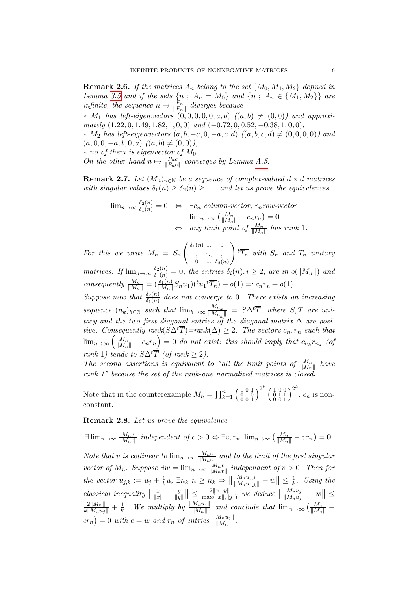<span id="page-8-0"></span>**Remark 2.6.** If the matrices  $A_n$  belong to the set  $\{M_0, M_1, M_2\}$  defined in Lemma [3.5](#page-13-1) and if the sets  $\{n ; A_n = M_0\}$  and  $\{n ; A_n \in \{M_1, M_2\}\}\$ are infinite, the sequence  $n \mapsto \frac{P_n}{\|P_n\|}$  diverges because

 $*$  M<sub>1</sub> has left-eigenvectors  $(0,0,0,0,0,a,b)$   $((a,b) \neq (0,0))$  and approximately  $(1.22, 0, 1.49, 1.82, 1, 0, 0)$  and  $(-0.72, 0, 0.52, -0.38, 1, 0, 0)$ ,

 $* M_2$  has left-eigenvectors  $(a, b, -a, 0, -a, c, d)$   $((a, b, c, d) ≠ (0, 0, 0, 0))$  and  $(a, 0, 0, -a, b, 0, a)$   $((a, b) \neq (0, 0)),$ 

 $*$  no of them is eigenvector of  $M_0$ .

On the other hand  $n \mapsto \frac{P_n c}{\|P_n c\|}$  converges by Lemma [A.5.](#page-16-0)

<span id="page-8-1"></span>**Remark 2.7.** Let  $(M_n)_{n\in\mathbb{N}}$  be a sequence of complex-valued  $d \times d$  matrices with singular values  $\delta_1(n) \geq \delta_2(n) \geq \ldots$  and let us prove the equivalences

$$
\lim_{n \to \infty} \frac{\delta_2(n)}{\delta_1(n)} = 0 \Leftrightarrow \exists c_n \text{ column-vector, } r_n \text{ row-vector}
$$

$$
\lim_{n \to \infty} \left( \frac{M_n}{\|M_n\|} - c_n r_n \right) = 0
$$

$$
\Leftrightarrow \text{ any limit point of } \frac{M_n}{\|M_n\|} \text{ has rank } 1.
$$

For this we write  $M_n = S_n$  $\left( \begin{array}{cccc} \delta_1(n) & \ldots & 0 \ \vdots & \ddots & \vdots \ 0 & \ldots & \delta_d(n) \end{array} \right)$  $\setminus$  ${}^t\overline{T_n}$  with  $S_n$  and  $T_n$  unitary matrices. If  $\lim_{n\to\infty} \frac{\delta_2(n)}{\delta_1(n)} = 0$ , the entries  $\delta_i(n), i \geq 2$ , are in  $o(\|M_n\|)$  and consequently  $\frac{M_n}{\|M_n\|} = \left(\frac{\delta_1(n)}{\|M_n\|} S_n u_1\right) \left(\frac{t_{u_1} t_{u_1}}{T_n}\right) + o(1) =: c_n r_n + o(1).$ Suppose now that  $\frac{\delta_2(n)}{\delta_1(n)}$  does not converge to 0. There exists an increasing sequence  $(n_k)_{k \in \mathbb{N}}$  such that  $\lim_{k \to \infty} \frac{M_{n_k}}{\|M_{n_k}\|}$  $\frac{Mn_k}{\|M_{n_k}\|} = S\Delta^t \overline{T}$ , where  $S, T$  are unitary and the two first diagonal entries of the diagonal matrix  $\Delta$  are positive. Consequently rank( $S\Delta^t\overline{T}$ )=rank( $\Delta$ ) ≥ 2. The vectors  $c_n, r_n$  such that  $\lim_{n\to\infty}\left(\frac{M_n}{\|M_n\|}-c_nr_n\right)=0$  do not exist: this should imply that  $c_{n_k}r_{n_k}$  (of

rank 1) tends to 
$$
S\Delta^t\overline{T}
$$
 (of rank  $\geq 2$ ).

The second assertions is equivalent to "all the limit points of  $\frac{M_n}{\|M_n\|}$  have rank 1" because the set of the rank-one normalized matrices is closed.

Note that in the counterexample  $M_n = \prod_{k=1}^n \left(\begin{smallmatrix} 1 & 0 & 1 \\ 0 & 1 & 0 \\ 0 & 0 & 1 \end{smallmatrix}\right)^{2^k} \left(\begin{smallmatrix} 1 & 0 & 0 \\ 0 & 1 & 1 \\ 0 & 0 & 1 \end{smallmatrix}\right)^{2^k}$ ,  $c_n$  is nonconstant.

<span id="page-8-2"></span>Remark 2.8. Let us prove the equivalence

$$
\exists \lim_{n \to \infty} \frac{M_n c}{\|M_n c\|} \text{ independent of } c > 0 \Leftrightarrow \exists v, r_n \lim_{n \to \infty} \left(\frac{M_n}{\|M_n\|} - v r_n\right) = 0.
$$

Note that v is collinear to  $\lim_{n\to\infty} \frac{M_n c}{\|M_n c\|}$  $\frac{M_nc}{\|M_nc\|}$  and to the limit of the first singular vector of  $M_n$ . Suppose  $\exists w = \lim_{n \to \infty} \frac{M_n v}{\|M_n v\|}$  $\frac{M_nv}{\|M_nv\|}$  independent of  $v > 0$ . Then for the vector  $u_{j,k} := u_j + \frac{1}{k}$  $\frac{1}{k}u, \exists n_k \ n \geq n_k \Rightarrow \|$  $\frac{M_n u_{j,k}}{\|M_n u_{j,k}\|} - w\| \leq \frac{1}{k}$  $\frac{1}{k}$ . Using the *classical inequality*  $\left\|\frac{x}{\|x\|} - \frac{y}{\|y\|}\right\|$  $\frac{y}{\|y\|}\| \leq \frac{2\|x-y\|}{\max(\|x\|,\|)}$  $rac{2||x-y||}{\max(||x||,||y||)}$  we deduce  $||$  $\frac{M_n u_j}{\|M_n u_j\|} - w\| \le$  $\frac{2\|M_n\|}{k\|M_nu_j\|}+\frac{1}{k}$  $\frac{1}{k}$ . We multiply by  $\frac{\|M_n u_j\|}{\|M_n\|}$  and conclude that  $\lim_{n\to\infty} \left(\frac{M_n}{\|M_n\|}\right)$  $cr_n)=0$  with  $c=w$  and  $r_n$  of entries  $\frac{||M_nu_j||}{||M_n||}$ .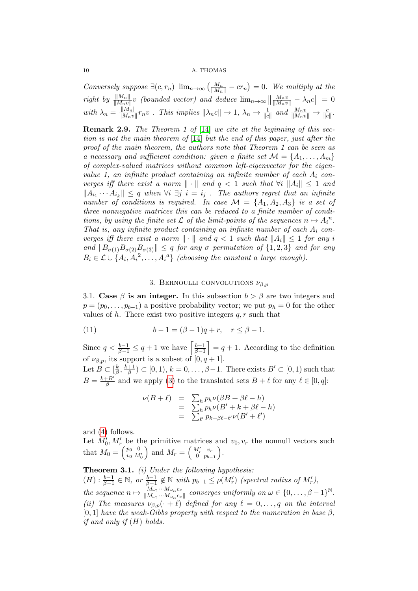Conversely suppose  $\exists (c, r_n) \ \lim_{n \to \infty} \left( \frac{M_n}{\|M_n\|} - c r_n \right) = 0$ . We multiply at the  $right \; by \; \frac{\|M_n\|}{\|M_nv\|}v$  (bounded vector) and deduce  $\lim_{n\to\infty}\left\|\frac{M_nv}{\|M_nv\|}-\lambda_nc\right\|=0$ with  $\lambda_n = \frac{\|M_n\|}{\|M_n v\|}$  $\frac{\|M_n\|}{\|M_n v\|} r_n v$ . This implies  $\|\lambda_n c\| \to 1$ ,  $\lambda_n \to \frac{1}{\|c\|}$  and  $\frac{M_n v}{\|M_n v\|} \to \frac{c}{\|c\|}$ .

<span id="page-9-1"></span>Remark 2.9. The Theorem 1 of [\[14\]](#page-20-4) we cite at the beginning of this section is not the main theorem of [\[14\]](#page-20-4) but the end of this paper, just after the proof of the main theorem, the authors note that Theorem 1 can be seen as a necessary and sufficient condition: given a finite set  $\mathcal{M} = \{A_1, \ldots, A_m\}$ of complex-valued matrices without common left-eigenvector for the eigenvalue 1, an infinite product containing an infinite number of each  $A_i$  converges iff there exist a norm  $\|\cdot\|$  and  $q < 1$  such that  $\forall i \Vert A_i \Vert \leq 1$  and  $||A_{i_1}\cdots A_{i_k}|| \leq q$  when  $\forall i \ \exists j \ i = i_j$ . The authors regret that an infinite number of conditions is required. In case  $\mathcal{M} = \{A_1, A_2, A_3\}$  is a set of three nonnegative matrices this can be reduced to a finite number of conditions, by using the finite set  $\mathcal L$  of the limit-points of the sequences  $n \mapsto A_i^n$ . That is, any infinite product containing an infinite number of each  $A_i$  converges iff there exist a norm  $\|\cdot\|$  and  $q < 1$  such that  $\|A_i\| \leq 1$  for any i and  $||B_{\sigma(1)}B_{\sigma(2)}B_{\sigma(3)}|| \leq q$  for any  $\sigma$  permutation of  $\{1,2,3\}$  and for any  $B_i \in \mathcal{L} \cup \{A_i, A_i^2, \ldots, A_i^a\}$  (choosing the constant a large enough).

## 3. BERNOULLI CONVOLUTIONS  $\nu_{\beta,p}$

<span id="page-9-2"></span><span id="page-9-0"></span>3.1. Case  $\beta$  is an integer. In this subsection  $b > \beta$  are two integers and  $p = (p_0, \ldots, p_{b-1})$  a positive probability vector; we put  $p_h = 0$  for the other values of h. There exist two positive integers  $q, r$  such that

(11) 
$$
b - 1 = (\beta - 1)q + r, \quad r \le \beta - 1.
$$

Since  $q < \frac{b-1}{\beta-1} \leq q+1$  we have  $\left[\frac{b-1}{\beta-1}\right]$  $\left(\frac{b-1}{\beta-1}\right)$  = q + 1. According to the definition of  $\nu_{\beta,p}$ , its support is a subset of  $[0, q+1]$ . Let  $B \subset \lceil \frac{k}{4} \rceil$  $\frac{k}{\beta}, \frac{k+1}{\beta}$  $\frac{+1}{\beta}$ )  $\subset$  [0, 1),  $k = 0, \ldots, \beta - 1$ . There exists  $B' \subset [0, 1)$  such that  $B = \frac{k+B'}{s}$  $\frac{e}{\beta}$  and we apply [\(3\)](#page-1-0) to the translated sets  $B + \ell$  for any  $\ell \in [0, q]$ :

$$
\nu(B+\ell) = \sum_{h} p_h \nu(\beta B + \beta \ell - h)
$$
  
= 
$$
\sum_{h} p_h \nu(B' + k + \beta \ell - h)
$$
  
= 
$$
\sum_{\ell'} p_{k+\beta\ell-\ell'} \nu(B' + \ell')
$$

and [\(4\)](#page-1-2) follows.

Let  $M'_0, M'_r$  be the primitive matrices and  $v_0, v_r$  the nonnull vectors such that  $M_0 = \left(\begin{smallmatrix} p_0 & 0 \ v_0 & M_0' \end{smallmatrix}\right)$ and  $M_r = \begin{pmatrix} M'_r & v_r \\ 0 & p_{h_r} \end{pmatrix}$  $0 \quad p_{b-1}$ .

**Theorem 3.1.** (i) Under the following hypothesis:  $(H): \frac{b-1}{\beta-1} \in \mathbb{N}$ , or  $\frac{b-1}{\beta-1} \notin \mathbb{N}$  with  $p_{b-1} \leq \rho(M'_r)$  (spectral radius of  $M'_r$ ), the sequence  $n \mapsto \frac{M_{\omega_1} \cdots M_{\omega_n} c_{\nu}}{\parallel M \parallel \cdots M \parallel c}$  $\frac{M_{\omega_1}\cdots M_{\omega_n}c_{\nu}}{\|M_{\omega_1}\cdots M_{\omega_n}c_{\nu}\|}$  converges uniformly on  $\omega \in \{0,\ldots,\beta-1\}^{\mathbb{N}}$ . (ii) The measures  $\nu_{\beta,p}(\cdot + \ell)$  defined for any  $\ell = 0, \ldots, q$  on the interval  $[0, 1]$  have the weak-Gibbs property with respect to the numeration in base  $\beta$ , if and only if  $(H)$  holds.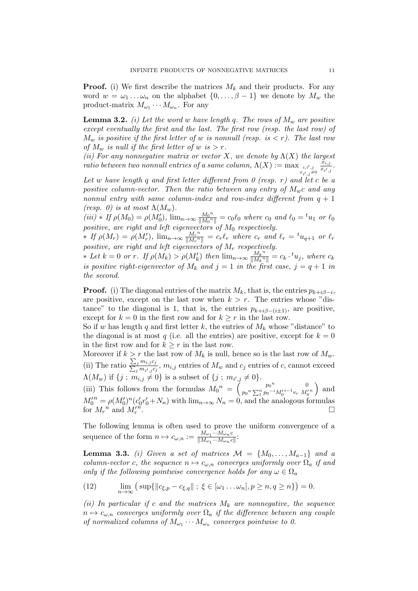**Proof.** (i) We first describe the matrices  $M_k$  and their products. For any word  $w = \omega_1 \dots \omega_n$  on the alphabet  $\{0, \dots, \beta - 1\}$  we denote by  $M_w$  the product-matrix  $M_{\omega_1} \cdots M_{\omega_n}$ . For any

<span id="page-10-2"></span>**Lemma 3.2.** (i) Let the word w have length q. The rows of  $M_w$  are positive except eventually the first and the last. The first row (resp. the last row) of  $M_w$  is positive if the first letter of w is nonnull (resp. is  $\langle r \rangle$ ). The last row of  $M_w$  is null if the first letter of w is  $>r$ .

(ii) For any nonnegative matrix or vector X, we denote by  $\Lambda(X)$  the largest  $\emph{ratio between two nonnull entries of a same column}, \Lambda(X) := \max_{\tiny{\begin{matrix} x_i, y_j \in \mathbb{R}^d, \\ x_i, y_j \in \mathbb{R}^d, \\ y_i \in \mathbb{R}^d, \\ y_i \in \mathbb{R}^d, \\ y_i \in \mathbb{R}^d, \\ y_i \in \mathbb{R}^d, \end{matrix}} \normalsize \max_{\tiny{\begin{matrix} x_i, y_j \in \mathbb{R}^d, \\ x_i, y_j \in \mathbb{R}^d, \\ y_i \in \mathbb{R}^d, \\ y_i \in \mathbb{R}^d, \\ y_i \in \mathbb{R}^d, \\ y_i \in \math$  $\breve{x}_{i,j}$  $\frac{x_{i,j}}{x_{i',j}}$ .

Let w have length q and first letter different from  $\theta$  (resp. r) and let c be a positive column-vector. Then the ratio between any entry of  $M_{w}c$  and any nonnul entry with same column-index and row-index different from  $q + 1$ (resp. 0) is at most  $\Lambda(M_w)$ .

 $(iii) * If \rho(M_0) = \rho(M'_0), \lim_{n \to \infty} \frac{M_0^{n}}{\|M_0^n\|}$  $\frac{M_0^{\phantom{0}n}}{\Vert M_0^{\phantom{0}n} \Vert} = c_0 \ell_0$  where  $c_0$  and  $\ell_0 = {}^t u_1$  or  $\ell_0$ positive, are right and left eigenvectors of  $M_0$  respectively.

\* If  $\rho(M_r) = \rho(M'_r)$ ,  $\lim_{n \to \infty} \frac{M_r^{n}}{\|M_r^{n}}$  $\frac{M_r{}^n}{\|M_r{}^n\|} = c_r\ell_r$  where  $c_r$  and  $\ell_r = {}^t u_{q+1}$  or  $\ell_r$ positive, are right and left eigenvectors of  $M_r$  respectively.

\* Let  $k = 0$  or r. If  $\rho(M_k) > \rho(M'_k)$  then  $\lim_{n \to \infty} \frac{M_k^n}{\|M_k^n\|}$  $\frac{M_k^{\ n}}{\|M_k^{\ n}\|} = c_k \cdot {}^t u_j,$  where  $c_k$ is positive right-eigenvector of  $M_k$  and  $j = 1$  in the first case,  $j = q + 1$  in the second.

**Proof.** (i) The diagonal entries of the matrix  $M_k$ , that is, the entries  $p_{k+i\beta-i}$ , are positive, except on the last row when  $k > r$ . The entries whose "distance" to the diagonal is 1, that is, the entries  $p_{k+i\beta-(i+1)}$ , are positive, except for  $k = 0$  in the first row and for  $k \geq r$  in the last row.

So if w has length q and first letter k, the entries of  $M_k$  whose "distance" to the diagonal is at most q (i.e. all the entries) are positive, except for  $k = 0$ in the first row and for  $k \geq r$  in the last row.

Moreover if  $k > r$  the last row of  $M_k$  is null, hence so is the last row of  $M_w$ . (ii) The ratio  $\frac{\sum_{ } }{n}$  $\sum$  $j$   $m_{i,j}c_j$  $\frac{d_j}{d_j m_{i',j} c_j}$ ,  $m_{i,j}$  entries of  $M_w$  and  $c_j$  entries of c, cannot exceed  $\Lambda(M_w)$  if  $\{j; m_{i,j} \neq 0\}$  is a subset of  $\{j; m_{i',j} \neq 0\}.$ 

(iii) This follows from the formulas  $M_0^n = \begin{pmatrix} p_0^n & 0 \\ p_0^n \nabla^n u_0^{-1} M^{i-1} u_0 & M^i \end{pmatrix}$  $p_0^{\,n} \sum_{1}^{p_0^{n}} p_0^{-i} M_0^{\prime\,i-1} v_r\,\, M_0^{\prime\,n} \bigg) \,\,\,{\rm and}$  $M_0^{\prime n} = \rho (M_0^{\prime})^n (c_0^{\prime} r_0^{\prime} + N_n)$  with  $\lim_{n\to\infty} N_n = 0$ , and the analogous formulas for  $M_r^{\,n}$  and  $M_r^{\prime n}$ .

The following lemma is often used to prove the uniform convergence of a sequence of the form  $n \mapsto c_{\omega,n} := \frac{M_{\omega_1} \cdots M_{\omega_n} c}{\|M_{\omega_1} \cdots M_{\omega_n} c\|}$  $\frac{m\omega_1\cdots m\omega_n c}{\|M\omega_1\cdots M\omega_n c\|}$ 

<span id="page-10-1"></span>**Lemma 3.3.** (i) Given a set of matrices  $\mathcal{M} = \{M_0, \ldots, M_{a-1}\}\$ and a column-vector c, the sequence  $n \mapsto c_{\omega,n}$  converges uniformly over  $\Omega_a$  if and only if the following pointwise convergence holds for any  $\omega \in \Omega_a$ 

<span id="page-10-0"></span>(12) 
$$
\lim_{n \to \infty} (\sup \{ ||c_{\xi, p} - c_{\xi, q}|| \; ; \; \xi \in [\omega_1 \dots \omega_n], p \ge n, q \ge n \}) = 0.
$$

(ii) In particular if c and the matrices  $M_k$  are nonnegative, the sequence  $n \mapsto c_{\omega,n}$  converges uniformly over  $\Omega_a$  if the difference between any couple of normalized columns of  $M_{\omega_1}\cdots M_{\omega_n}$  converges pointwise to 0.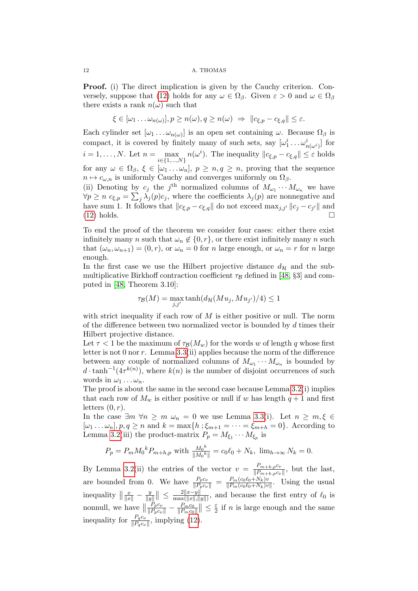Proof. (i) The direct implication is given by the Cauchy criterion. Con-versely, suppose that [\(12\)](#page-10-0) holds for any  $\omega \in \Omega_{\beta}$ . Given  $\varepsilon > 0$  and  $\omega \in \Omega_{\beta}$ there exists a rank  $n(\omega)$  such that

$$
\xi \in [\omega_1 \dots \omega_{n(\omega)}], p \ge n(\omega), q \ge n(\omega) \Rightarrow ||c_{\xi, p} - c_{\xi, q}|| \le \varepsilon.
$$

Each cylinder set  $[\omega_1 \dots \omega_{n(\omega)}]$  is an open set containing  $\omega$ . Because  $\Omega_\beta$  is compact, it is covered by finitely many of such sets, say  $[\omega_1^i \dots \omega_{n(\omega_i)}^i]$  for  $i = 1, \ldots, N$ . Let  $n = \max_{i \in \{1, \ldots, N\}} n(\omega^i)$ . The inequality  $||c_{\xi, p} - c_{\xi, q}|| \le \varepsilon$  holds for any  $\omega \in \Omega_{\beta}, \xi \in [\omega_1 \dots \omega_n], p \geq n, q \geq n$ , proving that the sequence  $n \mapsto c_{\omega,n}$  is uniformly Cauchy and converges uniformly on  $\Omega_{\beta}$ .

(ii) Denoting by  $c_j$  the j<sup>th</sup> normalized columns of  $M_{\omega_1} \cdots M_{\omega_n}$  we have  $\forall p \geq n \ c_{\xi,p} = \sum_j \lambda_j(p) c_j$ , where the coefficients  $\lambda_j(p)$  are nonnegative and have sum 1. It follows that  $||c_{\xi,p} - c_{\xi,q}||$  do not exceed  $\max_{j,j'} ||c_j - c_{j'}||$  and  $(12)$  holds.

To end the proof of the theorem we consider four cases: either there exist infinitely many n such that  $\omega_n \notin \{0, r\}$ , or there exist infinitely many n such that  $(\omega_n, \omega_{n+1}) = (0, r)$ , or  $\omega_n = 0$  for n large enough, or  $\omega_n = r$  for n large enough.

In the first case we use the Hilbert projective distance  $d_{\mathcal{H}}$  and the submultiplicative Birkhoff contraction coefficient  $\tau_{\mathcal{B}}$  defined in [\[48,](#page-22-6) §3] and computed in [\[48,](#page-22-6) Theorem 3.10]:

$$
\tau_{\mathcal{B}}(M) = \max_{j,j'} \tanh(d_{\mathcal{H}}(Mu_j, Mu_{j'})/4) \le 1
$$

with strict inequality if each row of  $M$  is either positive or null. The norm of the difference between two normalized vector is bounded by d times their Hilbert projective distance.

Let  $\tau$  < 1 be the maximum of  $\tau_{\mathcal{B}}(M_w)$  for the words w of length q whose first letter is not 0 nor r. Lemma [3.3\(](#page-10-1)ii) applies because the norm of the difference between any couple of normalized columns of  $M_{\omega_1} \cdots M_{\omega_n}$  is bounded by  $d \cdot \tanh^{-1}(4\tau^{k(n)})$ , where  $k(n)$  is the number of disjoint occurrences of such words in  $\omega_1 \dots \omega_n$ .

The proof is about the same in the second case because Lemma [3.2\(](#page-10-2)i) implies that each row of  $M_w$  is either positive or null if w has length  $q+1$  and first letters  $(0, r)$ .

In the case  $\exists m \forall n \ge m \omega_n = 0$  we use Lemma [3.3\(](#page-10-1)i). Let  $n \ge m, \xi \in$  $[\omega_1 \dots \omega_n], p, q \ge n$  and  $k = \max\{h : \xi_{m+1} = \dots = \xi_{m+h} = 0\}$ . According to Lemma [3.2\(](#page-10-2)iii) the product-matrix  $P_p = M_{\xi_1} \cdots M_{\xi_p}$  is

$$
P_p = P_m M_0^k P_{m+h,p} \text{ with } \frac{M_0^k}{\|M_0^k\|} = c_0 \ell_0 + N_k, \ \lim_{h \to \infty} N_k = 0.
$$

By Lemma [3.2\(](#page-10-2)ii) the entries of the vector  $v = \frac{P_{m+k,p}c_k}{\|P_{m+k,p}c_k\|}$  $\frac{F_{m+k,p}c_{\nu}}{\|P_{m+k,p}c_{\nu}\|}$ , but the last, are bounded from 0. We have  $\frac{P_p c_\nu}{\|P_{p} c_\nu\|} = \frac{P_m (c_0 \ell_0 + N_k)v}{\|P_m (c_0 \ell_0 + N_k)v}$  $\frac{P_m(c_0e_0+N_k)v}{\|P_m(c_0e_0+N_k)v\|}$ . Using the usual inequality  $\left\|\frac{x}{\|x\|} - \frac{y}{\|y\|}\right\|$  $\frac{y}{\|y\|}\| \leq \frac{2\|x-y\|}{\max(\|x\|,\|)}$  $\frac{2||x-y||}{\max(||x||,||y||)}$ , and because the first entry of  $\ell_0$  is nonnull, we have  $\parallel$  $\frac{P_p c_{\nu}}{\|P_p c_{\nu}\|} - \frac{P_m c_0}{\|P_m c_0\|}$  $\frac{P_m c_0}{\|P_m c_0\|}\| \leq \frac{\varepsilon}{2}$  $\frac{\varepsilon}{2}$  if *n* is large enough and the same inequality for  $\frac{P_q c_\nu}{\|P_q c_\nu\|}$ , implying [\(12\)](#page-10-0).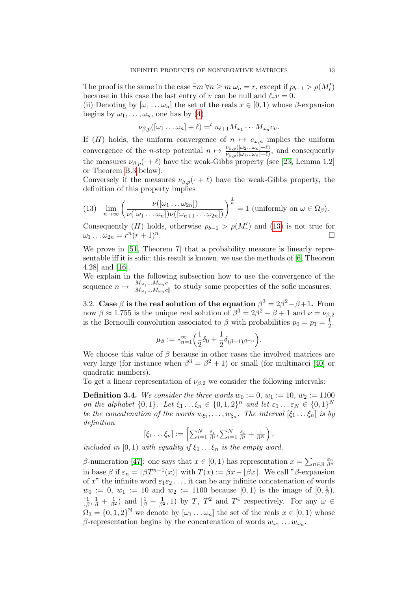The proof is the same in the case  $\exists m \forall n \geq m \omega_n = r$ , except if  $p_{b-1} > \rho(M'_r)$ because in this case the last entry of v can be null and  $\ell_r v = 0$ .

(ii) Denoting by  $[\omega_1 \dots \omega_n]$  the set of the reals  $x \in [0,1)$  whose  $\beta$ -expansion begins by  $\omega_1, \ldots, \omega_n$ , one has by [\(4\)](#page-1-2)

$$
\nu_{\beta,p}([\omega_1 \ldots \omega_n] + \ell) =^t u_{\ell+1} M_{\omega_1} \cdots M_{\omega_n} c_{\nu}.
$$

If (H) holds, the uniform convergence of  $n \mapsto c_{\omega,n}$  implies the uniform convergence of the *n*-step potential  $n \mapsto \frac{\nu_{\beta,p}([\omega_2...\omega_n]+\ell)}{\nu_{\beta,p}([\omega_1...\omega_n]+\ell)}$  $\frac{\nu_{\beta,p}(\omega_2...\omega_n)+\epsilon_j}{\nu_{\beta,p}(\omega_1...\omega_n)+\ell_j}$ , and consequently the measures  $\nu_{\beta,p}(\cdot + \ell)$  have the weak-Gibbs property (see [\[23,](#page-21-3) Lemma 1.2] or Theorem [B.3](#page-18-0) below).

Conversely if the measures  $\nu_{\beta,p}(\cdot + \ell)$  have the weak-Gibbs property, the definition of this property implies

<span id="page-12-1"></span>(13) 
$$
\lim_{n \to \infty} \left( \frac{\nu([\omega_1 \dots \omega_{2n}])}{\nu([\omega_1 \dots \omega_n]) \nu([\omega_{n+1} \dots \omega_{2n}])} \right)^{\frac{1}{n}} = 1 \text{ (uniformly on } \omega \in \Omega_\beta).
$$

Consequently (H) holds, otherwise  $p_{b-1} > \rho(M'_r)$  and [\(13\)](#page-12-1) is not true for  $\omega_1 \ldots \omega_{2n} = r^n(r+1)^n$ .

We prove in [\[51,](#page-22-1) Theorem 7] that a probability measure is linearly representable iff it is sofic; this result is known, we use the methods of [\[6,](#page-20-0) Theorem 4.28] and [\[16\]](#page-20-1).

We explain in the following subsection how to use the convergence of the sequence  $n \mapsto \frac{M_{\omega_1}...M_{\omega_n}c}{\|M\| \cdot M_{\omega_n}c}$  $\frac{M_{\omega_1} \dots M_{\omega_n} c}{\|M_{\omega_1} \dots M_{\omega_n} c\|}$  to study some properties of the sofic measures.

<span id="page-12-0"></span>3.2. Case  $\beta$  is the real solution of the equation  $\beta^3 = 2\beta^2 - \beta + 1$ . From now  $\beta \approx 1.755$  is the unique real solution of  $\beta^3 = 2\beta^2 - \beta + 1$  and  $\nu = \nu_{\beta,2}$ is the Bernoulli convolution associated to  $\beta$  with probabilities  $p_0 = p_1 = \frac{1}{2}$  $rac{1}{2}$ .

$$
\mu_{\beta} := *_{n=1}^{\infty} \left( \frac{1}{2} \delta_0 + \frac{1}{2} \delta_{(\beta-1)\beta^{-n}} \right).
$$

We choose this value of  $\beta$  because in other cases the involved matrices are very large (for instance when  $\beta^3 = \beta^2 + 1$ ) or small (for multinacci [\[40\]](#page-22-12) or quadratic numbers).

To get a linear representation of  $\nu_{\beta,2}$  we consider the following intervals:

**Definition 3.4.** We consider the three words  $w_0 := 0$ ,  $w_1 := 10$ ,  $w_2 := 1100$ on the alphabet  $\{0,1\}$ . Let  $\xi_1 \dots \xi_n \in \{0,1,2\}^n$  and let  $\varepsilon_1 \dots \varepsilon_N \in \{0,1\}^N$ be the concatenation of the words  $w_{\xi_1}, \ldots, w_{\xi_n}$ . The interval  $[\xi_1 \ldots \xi_n]$  is by definition

$$
[\xi_1 \ldots \xi_n] := \left[ \sum_{i=1}^N \frac{\varepsilon_i}{\beta^i}, \sum_{i=1}^N \frac{\varepsilon_i}{\beta^i} + \frac{1}{\beta^N} \right),
$$

included in [0, 1) with equality if  $\xi_1 \ldots \xi_n$  is the empty word.

β-numeration [\[47\]](#page-22-13): one says that  $x \in [0, 1)$  has representation  $x = \sum_{n \in \mathbb{N}} \frac{\varepsilon_n}{\beta^n}$ in base  $\beta$  if  $\varepsilon_n = \lfloor \beta T^{n-1}(x) \rfloor$  with  $T(x) := \beta x - \lfloor \beta x \rfloor$ . We call " $\beta$ -expansion of x" the infinite word  $\varepsilon_1 \varepsilon_2 \ldots$ , it can be any infinite concatenation of words  $w_0 := 0, w_1 := 10$  and  $w_2 := 1100$  because  $[0, 1)$  is the image of  $[0, \frac{1}{6}]$  $\frac{1}{\beta}$ ),  $\left[\frac{1}{2}\right]$  $\frac{1}{\beta}, \frac{1}{\beta} + \frac{1}{\beta^2}$  and  $\left[\frac{1}{\beta} + \frac{1}{\beta^2}, 1\right)$  by T, T<sup>2</sup> and T<sup>4</sup> respectively. For any  $\omega \in$  $\Omega_3 = \{0, 1, 2\}^{\mathbb{N}}$  we denote by  $[\omega_1 \dots \omega_n]$  the set of the reals  $x \in [0, 1)$  whose β-representation begins by the concatenation of words  $w_{ω_1} \dots w_{ω_n}$ .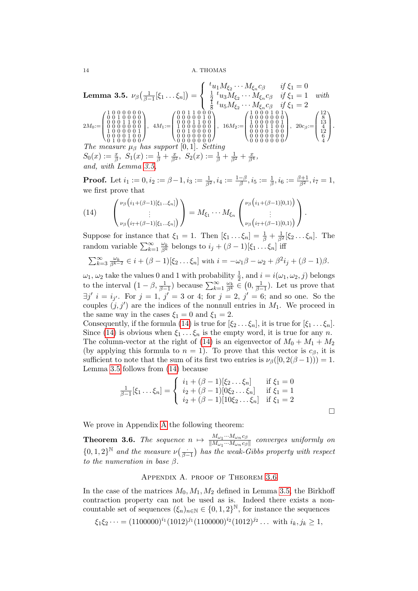<span id="page-13-1"></span>**Lemma 3.5.** 
$$
\nu_{\beta}\left(\frac{1}{\beta-1}[\xi_1 \dots \xi_n]\right) = \begin{cases} \frac{t_{u_1} M_{\xi_2} \dots M_{\xi_n} c_{\beta}}{\frac{1}{2}} & \text{if } \xi_1 = 0 \\ \frac{1}{2} \frac{t_{u_3} M_{\xi_2} \dots M_{\xi_n} c_{\beta}}{\frac{1}{8}} & \text{if } \xi_1 = 1 \quad \text{with} \\ \frac{1}{8} \frac{t_{u_5} M_{\xi_2} \dots M_{\xi_n} c_{\beta}}{\frac{1}{8}} & \text{if } \xi_1 = 2 \end{cases}
$$

$$
2M_0 := \begin{pmatrix} 1 & 0 & 0 & 0 & 0 & 0 \\ 0 & 0 & 1 & 0 & 0 & 0 \\ 0 & 0 & 0 & 1 & 0 & 0 \\ 0 & 0 & 0 & 0 & 0 & 0 \\ 0 & 0 & 0 & 0 & 0 & 0 \\ 0 & 0 & 0 & 0 & 0 & 0 \\ 0 & 0 & 0 & 0 & 0 & 0 \\ 0 & 0 & 0 & 0 & 0 & 0 \end{pmatrix}, \quad 4M_1 := \begin{pmatrix} 0 & 0 & 1 & 1 & 0 & 0 \\ 0 & 0 & 0 & 1 & 0 & 0 \\ 0 & 0 & 0 & 1 & 0 & 0 \\ 0 & 0 & 0 & 0 & 0 & 0 \\ 0 & 0 & 0 & 0 & 0 & 0 \\ 0 & 0 & 0 & 0 & 0 & 0 \\ 0 & 0 & 0 & 0 & 0 & 0 \end{pmatrix}, \quad 16M_2 := \begin{pmatrix} 1 & 0 & 0 & 0 & 0 & 0 \\ 1 & 0 & 0 & 0 & 0 & 0 & 0 \\ 0 & 0 & 0 & 0 & 0 & 0 & 0 \\ 0 & 0 & 0 & 0 & 0 & 0 & 0 \\ 0 & 0 & 0 & 0 & 0 & 0 & 0 \\ 0 & 0 & 0 & 0 & 0 & 0 & 0 \\ 0 & 0 & 0 & 0 & 0 & 0 & 0 \end{pmatrix}, \quad 20c_{\beta} := \begin{pmatrix} 12 \\ 13 \\ 14 \\ 4 \\ 6 \\ 6 \\ 4 \end{pmatrix}.
$$
  
\n*The measure  $\mu_{\beta}$* 

**Proof.** Let  $i_1 := 0, i_2 := \beta - 1, i_3 := \frac{1}{\beta^2}, i_4 := \frac{1-\beta}{\beta}$  $\frac{-\beta}{\beta}, i_5:=\frac{1}{\beta}, i_6:=\frac{\beta+1}{\beta^2}, i_7=1,$ we first prove that

<span id="page-13-2"></span>
$$
(14) \qquad \begin{pmatrix} \nu_{\beta}\left(i_{1}+(\beta-1)[\xi_{1}...\xi_{n}]\right) \\ \vdots \\ \nu_{\beta}\left(i_{7}+(\beta-1)[\xi_{1}...\xi_{n}]\right) \end{pmatrix} = M_{\xi_{1}} \cdots M_{\xi_{n}} \begin{pmatrix} \nu_{\beta}\left(i_{1}+(\beta-1)[0,1)\right) \\ \vdots \\ \nu_{\beta}\left(i_{7}+(\beta-1)[0,1)\right) \end{pmatrix}.
$$

Suppose for instance that  $\xi_1 = 1$ . Then  $[\xi_1 \dots \xi_n] = \frac{1}{\beta} + \frac{1}{\beta^2} [\xi_2 \dots \xi_n]$ . The random variable  $\sum_{k=1}^{\infty} \frac{\omega_k}{\beta^k}$  belongs to  $i_j + (\beta - 1)[\xi_1 \dots \xi_n]$  iff

$$
\sum_{k=3}^{\infty} \frac{\omega_k}{\beta^{k-2}} \in i + (\beta - 1)[\xi_2 \dots \xi_n] \text{ with } i = -\omega_1 \beta - \omega_2 + \beta^2 i_j + (\beta - 1)\beta.
$$

 $\omega_1, \omega_2$  take the values 0 and 1 with probability  $\frac{1}{2}$ , and  $i = i(\omega_1, \omega_2, j)$  belongs to the interval  $(1-\beta, \frac{1}{\beta-1})$  because  $\sum_{k=1}^{\infty} \frac{\omega_k}{\beta^k} \in (0, \frac{1}{\beta-1})$ . Let us prove that  $\exists j' \ i = i_{j'}$ . For  $j = 1, j' = 3$  or 4; for  $j = 2, j' = 6$ ; and so one. So the couples  $(j, j')$  are the indices of the nonnull entries in  $M_1$ . We proceed in the same way in the cases  $\xi_1 = 0$  and  $\xi_1 = 2$ .

Consequently, if the formula [\(14\)](#page-13-2) is true for  $[\xi_2 \dots \xi_n]$ , it is true for  $[\xi_1 \dots \xi_n]$ . Since [\(14\)](#page-13-2) is obvious when  $\xi_1 \dots \xi_n$  is the empty word, it is true for any n. The column-vector at the right of [\(14\)](#page-13-2) is an eigenvector of  $M_0 + M_1 + M_2$ (by applying this formula to  $n = 1$ ). To prove that this vector is  $c_{\beta}$ , it is sufficient to note that the sum of its first two entries is  $\nu_\beta([0, 2(\beta - 1))) = 1$ . Lemma [3.5](#page-13-1) follows from [\(14\)](#page-13-2) because

$$
\frac{1}{\beta - 1}[\xi_1 \dots \xi_n] = \begin{cases} i_1 + (\beta - 1)[\xi_2 \dots \xi_n] & \text{if } \xi_1 = 0 \\ i_2 + (\beta - 1)[0\xi_2 \dots \xi_n] & \text{if } \xi_1 = 1 \\ i_2 + (\beta - 1)[10\xi_2 \dots \xi_n] & \text{if } \xi_1 = 2 \end{cases}
$$

 $\Box$ 

We prove in Appendix [A](#page-13-0) the following theorem:

<span id="page-13-3"></span>**Theorem 3.6.** The sequence  $n \mapsto \frac{M_{\omega_1} \cdots M_{\omega_n} c_{\beta}}{\|M\| \cdots M\|}$  $\frac{m_{\omega_1}...m_{\omega_n}c_{\beta}}{\|M_{\omega_1}...M_{\omega_n}c_{\beta}\|}$  converges uniformly on  $\{0,1,2\}^{\mathbb{N}}$  and the measure  $\nu\left(\frac{\cdot}{\beta-1}\right)$  $\frac{1}{\beta-1}$ ) has the weak-Gibbs property with respect to the numeration in base  $\beta$ .

## Appendix A. proof of Theorem [3.6](#page-13-3)

<span id="page-13-0"></span>In the case of the matrices  $M_0, M_1, M_2$  defined in Lemma [3.5,](#page-13-1) the Birkhoff contraction property can not be used as is. Indeed there exists a noncountable set of sequences  $(\xi_n)_{n\in\mathbb{N}} \in \{0,1,2\}^{\mathbb{N}},$  for instance the sequences

 $\xi_1 \xi_2 \cdots = (1100000)^{i_1} (1012)^{j_1} (1100000)^{i_2} (1012)^{j_2} \dots$  with  $i_k, j_k \ge 1$ ,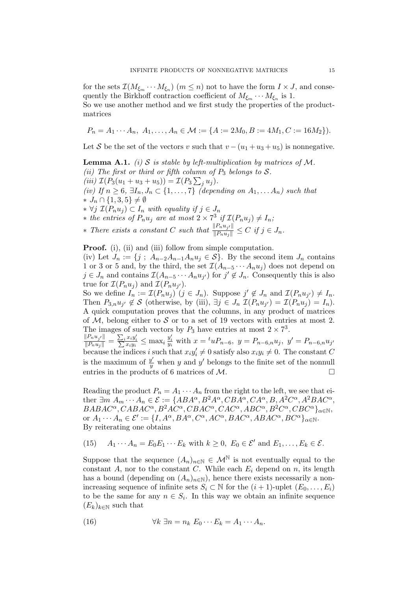for the sets  $\mathcal{I}(M_{\xi_m}\cdots M_{\xi_n})$   $(m \leq n)$  not to have the form  $I \times J$ , and consequently the Birkhoff contraction coefficient of  $M_{\xi_m} \cdots M_{\xi_n}$  is 1. So we use another method and we first study the properties of the product-

matrices

$$
P_n = A_1 \cdots A_n, \ A_1, \ldots, A_n \in \mathcal{M} := \{ A := 2M_0, B := 4M_1, C := 16M_2 \}.
$$

Let S be the set of the vectors v such that  $v - (u_1 + u_3 + u_5)$  is nonnegative.

<span id="page-14-1"></span>**Lemma A.1.** (i) S is stable by left-multiplication by matrices of M. (ii) The first or third or fifth column of  $P_3$  belongs to  $S$ . (iii)  $\mathcal{I}(P_3(u_1 + u_3 + u_5)) = \mathcal{I}(P_3 \sum_j u_j).$ (iv) If  $n \geq 6$ ,  $\exists I_n, J_n \subset \{1, \ldots, 7\}$  (depending on  $A_1, \ldots, A_n$ ) such that  $\ast J_n \cap \{1,3,5\} \neq \emptyset$  $*$  ∀j  $\mathcal{I}(P_nu_j)$  ⊂  $I_n$  with equality if  $j \in J_n$ \* the entries of  $P_n u_j$  are at most  $2 \times 7^3$  if  $\mathcal{I}(P_n u_j) \neq I_n$ ; ∗ There exists a constant C such that  $\frac{\|P_n u_{j'}\|}{\|P_n u_{j}\|} \leq C$  if  $j \in J_n$ .

**Proof.** (i), (ii) and (iii) follow from simple computation.

(iv) Let  $J_n := \{j : A_{n-2}A_{n-1}A_nu_j \in \mathcal{S}\}\$ . By the second item  $J_n$  contains 1 or 3 or 5 and, by the third, the set  $\mathcal{I}(A_{n-5}\cdots A_nu_i)$  does not depend on  $j \in J_n$  and contains  $\mathcal{I}(A_{n-5} \cdots A_n u_{j'})$  for  $j' \notin J_n$ . Consequently this is also true for  $\mathcal{I}(P_n u_j)$  and  $\mathcal{I}(P_n u_{j'})$ .

So we define  $I_n := \mathcal{I}(P_n u_j)$   $(j \in J_n)$ . Suppose  $j' \notin J_n$  and  $\mathcal{I}(P_n u_{j'}) \neq I_n$ . Then  $P_{3,n}u_{j'} \notin \mathcal{S}$  (otherwise, by (iii),  $\exists j \in J_n \ \mathcal{I}(P_nu_{j'}) = \mathcal{I}(P_nu_j) = I_n$ ). A quick computation proves that the columns, in any product of matrices of M, belong either to S or to a set of 19 vectors with entries at most 2. The images of such vectors by  $P_3$  have entries at most  $2 \times 7^3$ .

 $\frac{\|P_n u_{j'}\|}{\|P_n u_{j}\|} = \frac{\sum_i x_i y_i'}{\sum x_i y_i} \le \max_i \frac{y_i'}{y_i}$  with  $x = {}^t u P_{n-6}$ ,  $y = P_{n-6,n} u_j$ ,  $y' = P_{n-6,n} u_{j'}$ because the indices i such that  $x_i y_i' \neq 0$  satisfy also  $x_i y_i \neq 0$ . The constant C is the maximum of  $\frac{y'}{y}$  $y'$  when y and y' belongs to the finite set of the nonnull entries in the products of 6 matrices of M.

Reading the product  $P_n = A_1 \cdots A_n$  from the right to the left, we see that either  $\exists m \ A_m \cdots A_n \in \mathcal{E} := \{ABA^{\alpha}, B^2A^{\alpha}, CBA^{\alpha}, CA^{\alpha}, B, A^2C^{\alpha}, A^2BAC^{\alpha},$  $BABAC^{\alpha}, CABAC^{\alpha}, B^2AC^{\alpha}, CBAC^{\alpha}, CAC^{\alpha}, ABC^{\alpha}, B^2C^{\alpha}, CBC^{\alpha}\}_{\alpha \in \mathbb{N}},$ or  $A_1 \cdots A_n \in \mathcal{E}' := \{I, A^\alpha, BA^\alpha, C^\alpha, AC^\alpha, BAC^\alpha, ABAC^\alpha, BC^\alpha\}_{\alpha \in \mathbb{N}}.$ By reiterating one obtains

<span id="page-14-2"></span>(15) 
$$
A_1 \cdots A_n = E_0 E_1 \cdots E_k
$$
 with  $k \ge 0$ ,  $E_0 \in \mathcal{E}'$  and  $E_1, \ldots, E_k \in \mathcal{E}$ .

Suppose that the sequence  $(A_n)_{n\in\mathbb{N}}\in\mathcal{M}^{\mathbb{N}}$  is not eventually equal to the constant A, nor to the constant C. While each  $E_i$  depend on n, its length has a bound (depending on  $(A_n)_{n\in\mathbb{N}}$ ), hence there exists necessarily a nonincreasing sequence of infinite sets  $S_i \subset \mathbb{N}$  for the  $(i + 1)$ -uplet  $(E_0, \ldots, E_i)$ to be the same for any  $n \in S_i$ . In this way we obtain an infinite sequence  $(E_k)_{k\in\mathbb{N}}$  such that

<span id="page-14-0"></span>(16) 
$$
\forall k \ \exists n = n_k \ E_0 \cdots E_k = A_1 \cdots A_n.
$$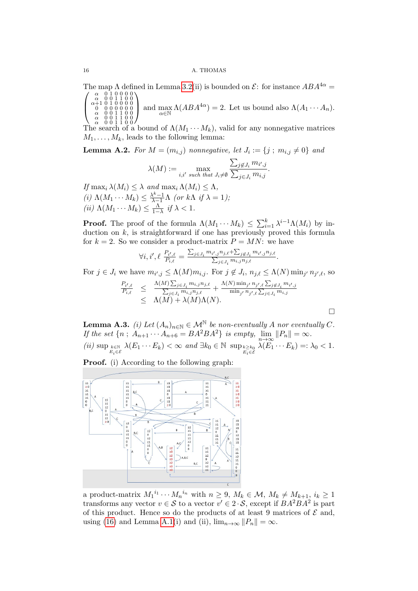The map  $\Lambda$  defined in Lemma [3.2\(](#page-10-2)ii) is bounded on  $\mathcal{E}$ : for instance  $ABA^{4\alpha} =$  $\sqrt{ }$  $\setminus$ 

 $\left\{ \right.$  $\begin{array}{c} \alpha\quad 0\ 1\ 0\ 0\ 0\ \alpha \\ \alpha+1\ 0\ 1\ 0\ 0\ 0\ 0 \\ \alpha\quad 0\ 0\ 0\ 0\ 0\ 0 \\ \alpha\quad 0\ 0\ 1\ 1\ 0\ 0 \end{array}$ α 0 0 1 1 0 0  $\Big\}$ and  $\max_{\alpha \in \mathbb{N}} \Lambda(ABA^{4\alpha}) = 2$ . Let us bound also  $\Lambda(A_1 \cdots A_n)$ .

 $\Lambda \alpha$  0 0 1 1 0 0 /<br>The search of a bound of  $\Lambda(M_1 \cdots M_k)$ , valid for any nonnegative matrices  $M_1, \ldots, M_k$ , leads to the following lemma:

<span id="page-15-1"></span>**Lemma A.2.** For  $M = (m_{i,j})$  nonnegative, let  $J_i := \{j ; m_{i,j} \neq 0\}$  and

$$
\lambda(M) := \max_{i,i' \text{ such that } J_i \neq \emptyset} \frac{\sum_{j \notin J_i} m_{i',j}}{\sum_{j \in J_i} m_{i,j}}.
$$

If  $\max_i \lambda(M_i) \leq \lambda$  and  $\max_i \Lambda(M_i) \leq \Lambda$ , (i)  $\Lambda(M_1 \cdots M_k) \leq \frac{\lambda^k - 1}{\lambda - 1} \Lambda$  (or  $k \Lambda$  if  $\lambda = 1$ ); (*ii*)  $\Lambda(M_1 \cdots M_k) \leq \frac{\Lambda}{1-\lambda}$  *if*  $\lambda < 1$ .

**Proof.** The proof of the formula  $\Lambda(M_1 \cdots M_k) \leq \sum_{i=1}^k \lambda^{i-1} \Lambda(M_i)$  by induction on k, is straightforward if one has previously proved this formula for  $k = 2$ . So we consider a product-matrix  $P = MN$ : we have

$$
\forall i, i', \ell \; \frac{P_{i',\ell}}{P_{i,\ell}} = \frac{\sum_{j \in J_i} m_{i',j} n_{j,\ell} + \sum_{j \notin J_i} m_{i',j} n_{j,\ell}}{\sum_{j \in J_i} m_{i,j} n_{j,\ell}}.
$$

For  $j \in J_i$  we have  $m_{i',j} \leq \Lambda(M)m_{i,j}$ . For  $j \notin J_i$ ,  $n_{j,\ell} \leq \Lambda(N)\min_{j'} n_{j',\ell}$ , so

$$
\frac{P_{i',\ell}}{P_{i,\ell}} \leq \frac{\Lambda(M) \sum_{j \in J_i} m_{i,j} n_{j,\ell}}{\sum_{j \in J_i} m_{i,j} n_{j,\ell}} + \frac{\Lambda(N) \min_{j'} n_{j',\ell} \sum_{j \notin J_i} m_{i',j}}{\min_{j'} n_{j',\ell} \sum_{j \in J_i} m_{i,j}} \leq \Lambda(M) + \lambda(M) \Lambda(N).
$$

<span id="page-15-0"></span>**Lemma A.3.** (i) Let  $(A_n)_{n\in\mathbb{N}} \in \mathcal{M}^{\mathbb{N}}$  be non-eventually A nor eventually C. If the set  $\{n; A_{n+1} \cdots A_{n+6} = BA^2BA^2\}$  is empty,  $\lim_{n \to \infty} ||P_n|| = \infty$ . (ii)  $\sup_{E_i \in \mathcal{E}} \lambda(E_1 \cdots E_k) < \infty$  and  $\exists k_0 \in \mathbb{N}$   $\sup_{E_i \in \mathcal{E}} \lambda(E_1 \cdots E_k) =: \lambda_0 < 1$ .

Proof. (i) According to the following graph:



a product-matrix  $M_1^{i_1} \cdots M_n^{i_n}$  with  $n \geq 9$ ,  $M_k \in \mathcal{M}$ ,  $M_k \neq M_{k+1}$ ,  $i_k \geq 1$ transforms any vector  $v \in S$  to a vector  $v' \in 2 \cdot S$ , except if  $BA^2BA^2$  is part of this product. Hence so do the products of at least 9 matrices of  $\mathcal E$  and, using [\(16\)](#page-14-0) and Lemma [A.1\(](#page-14-1)i) and (ii),  $\lim_{n\to\infty}||P_n|| = \infty$ .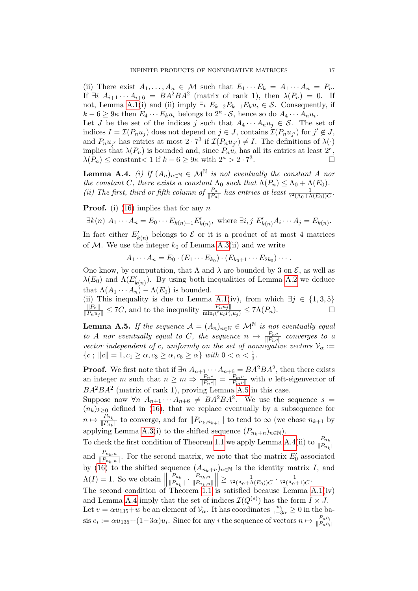(ii) There exist  $A_1, \ldots, A_n \in \mathcal{M}$  such that  $E_1 \cdots E_k = A_1 \cdots A_n = P_n$ . If  $\exists i \ A_{i+1} \cdots A_{i+6} = BA^2BA^2$  (matrix of rank 1), then  $\lambda(P_n) = 0$ . If not, Lemma [A.1\(](#page-14-1)i) and (ii) imply  $\exists \iota E_{k-2}E_{k-1}E_ku_\iota \in \mathcal{S}$ . Consequently, if  $k-6 \geq 9\kappa$  then  $E_4 \cdots E_k u_k$  belongs to  $2^{\kappa} \cdot S$ , hence so do  $A_4 \cdots A_n u_k$ .

Let J be the set of the indices j such that  $A_4 \cdots A_n u_j \in \mathcal{S}$ . The set of indices  $I = \mathcal{I}(P_n u_j)$  does not depend on  $j \in J$ , contains  $\mathcal{I}(P_n u_{j'})$  for  $j' \notin J$ , and  $P_nu_{j'}$  has entries at most  $2 \cdot 7^3$  if  $\mathcal{I}(P_nu_{j'}) \neq I$ . The definitions of  $\lambda(\cdot)$ implies that  $\lambda(P_n)$  is bounded and, since  $P_nu_i$  has all its entries at least  $2^{\kappa}$ ,  $\lambda(P_n) \leq \text{constant} < 1 \text{ if } k - 6 \geq 9\kappa \text{ with } 2^{\kappa} > 2 \cdot 7^3$ .

<span id="page-16-1"></span>**Lemma A.4.** (i) If  $(A_n)_{n\in\mathbb{N}} \in \mathcal{M}^{\mathbb{N}}$  is not eventually the constant A nor the constant C, there exists a constant  $\Lambda_0$  such that  $\Lambda(P_n) \leq \Lambda_0 + \Lambda(E_0)$ . (ii) The first, third or fifth column of  $\frac{P_n}{\|P_n\|}$  has entries at least  $\frac{1}{7^2(\Lambda_0+\Lambda(E_0))C}$ .

**Proof.** (i) [\(16\)](#page-14-0) implies that for any n

$$
\exists k(n) \ A_1 \cdots A_n = E_0 \cdots E_{k(n)-1} E'_{k(n)}, \text{ where } \exists i, j \ E'_{k(n)} A_i \cdots A_j = E_{k(n)}.
$$

In fact either  $E'_{k(n)}$  belongs to  $\mathcal E$  or it is a product of at most 4 matrices of M. We use the integer  $k_0$  of Lemma [A.3\(](#page-15-0)ii) and we write

 $A_1 \cdots A_n = E_0 \cdot (E_1 \cdots E_{k_0}) \cdot (E_{k_0+1} \cdots E_{2k_0}) \cdots$ 

One know, by computation, that  $\Lambda$  and  $\lambda$  are bounded by 3 on  $\mathcal{E}$ , as well as  $\lambda(E_0)$  and  $\Lambda(E'_{k(n)})$ . By using both inequalities of Lemma [A.2](#page-15-1) we deduce that  $\Lambda(A_1 \cdots A_n) - \Lambda(E_0)$  is bounded.

(ii) This inequality is due to Lemma [A.1\(](#page-14-1)iv), from which  $\exists j \in \{1,3,5\}$  $\frac{\|P_n\|}{\|P_n u_j\|} \le 7C$ , and to the inequality  $\frac{\|P_n u_j\|}{\min_i ({}^t u_i P_n u_j)} \le 7\Lambda(P_n)$ .

<span id="page-16-0"></span>**Lemma A.5.** If the sequence  $\mathcal{A} = (A_n)_{n \in \mathbb{N}} \in \mathcal{M}^{\mathbb{N}}$  is not eventually equal to A nor eventually equal to C, the sequence  $n \mapsto \frac{P_n c}{\|P_n c\|}$  converges to a vector independent of c, uniformly on the set of nonnegative vectors  $\mathcal{V}_{\alpha}$  :=  ${c; ||c|| = 1, c_1 \ge \alpha, c_3 \ge \alpha, c_5 \ge \alpha} \text{ with } 0 < \alpha < \frac{1}{3}.$ 

**Proof.** We first note that if  $\exists n \ A_{n+1} \cdots A_{n+6} = BA^2BA^2$ , then there exists an integer m such that  $n \geq m \Rightarrow \frac{P_n c}{\|P_n c\|} = \frac{P_m v}{\|P_m v\|}$  with v left-eigenvector of  $BA^2BA^2$  (matrix of rank 1), proving Lemma [A.5](#page-16-0) in this case.

Suppose now  $\forall n \ A_{n+1} \cdots A_{n+6} \neq BA^2BA^2$ . We use the sequence  $s =$  $(n_k)_{k\geq 0}$  defined in [\(16\)](#page-14-0), that we replace eventually by a subsequence for  $n \mapsto \frac{P_{n_k}}{\mathbb{I}P}$  $\frac{r_{n_k}}{\|P_{n_k}\|}$  to converge, and for  $\|P_{n_k,n_{k+1}}\|$  to tend to  $\infty$  (we chose  $n_{k+1}$  by applying Lemma [A.3\(](#page-15-0)i) to the shifted sequence  $(P_{n_k+n})_{n\in\mathbb{N}}$ .

To check the first condition of Theorem [1.1](#page-4-0) we apply Lemma [A.4\(](#page-16-1)ii) to  $\frac{P_{n_k}}{\|P_{n_k}\|}$ and  $\frac{P_{n_k,n}}{\|P_{n_k,n}\|}$ . For the second matrix, we note that the matrix  $E'_0$  associated by [\(16\)](#page-14-0) to the shifted sequence  $(A_{n_k+n})_{n\in\mathbb{N}}$  is the identity matrix I, and  $\Lambda(I) = 1$ . So we obtain  $\parallel$  $P_{n_k}$  $\frac{P_{n_k}}{\|P_{n_k}\|} \cdot \frac{P_{n_k,n}}{\|P_{n_k,n}\|}$  $\Big\| \geq \frac{1}{7^2(\Lambda_0 + \Lambda)}$  $\frac{1}{7^2(\Lambda_0+\Lambda(E_0))C} \cdot \frac{1}{7^2(\Lambda_0+\Lambda(E_0))}$  $\frac{1}{7^2(\Lambda_0+1)C}$ The second condition of Theorem [1.1](#page-4-0) is satisfied because Lemma  $A.1(iv)$ 

and Lemma [A.4](#page-16-1) imply that the set of indices  $\mathcal{I}(Q^{(s)})$  has the form  $I \times J$ . Let  $v = \alpha u_{135} + w$  be an element of  $\mathcal{V}_{\alpha}$ . It has coordinates  $\frac{w_i}{1-3\alpha} \ge 0$  in the ba- $\text{cis } e_i := \alpha u_{135} + (1-3\alpha)u_i.$  Since for any i the sequence of vectors  $n \mapsto \frac{P_n e_i}{\|P_n e_i\|}$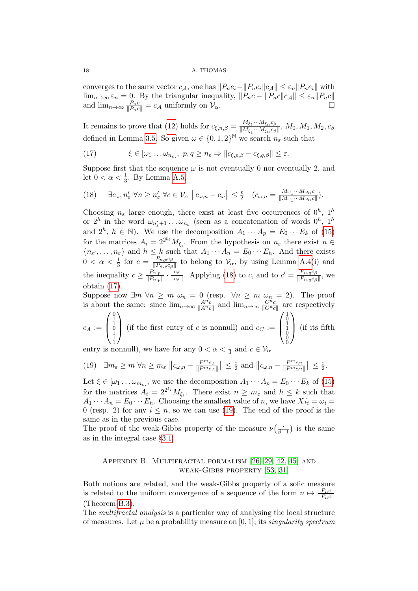converges to the same vector  $c_{\mathcal{A}}$ , one has  $||P_ne_i-||P_ne_i||c_{\mathcal{A}}|| \leq \varepsilon_n ||P_ne_i||$  with  $\lim_{n\to\infty} \varepsilon_n = 0$ . By the triangular inequality,  $||P_n c - ||P_n c|| \leq \varepsilon_n ||P_n c||$ and  $\lim_{n\to\infty} \frac{P_n c}{\|P_n c\|} = c_{\mathcal{A}}$  uniformly on  $\mathcal{V}_{\alpha}$ .

It remains to prove that [\(12\)](#page-10-0) holds for  $c_{\xi,n,\beta} = \frac{M_{\xi_1} \cdots M_{\xi_n} c_{\beta}}{\|M_{\xi_1} \cdots M_{\xi_n} c_{\beta}\|}$  $\frac{M_{\xi_1} \cdots M_{\xi_n} c_{\beta}}{\|M_{\xi_1} \cdots M_{\xi_n} c_{\beta}\|}, M_0, M_1, M_2, c_{\beta}$ defined in Lemma [3.5.](#page-13-1) So given  $\omega \in \{0, 1, 2\}^{\mathbb{N}}$  we search  $n_{\varepsilon}$  such that

<span id="page-17-1"></span>(17) 
$$
\xi \in [\omega_1 \dots \omega_{n_{\varepsilon}}], \ p, q \ge n_{\varepsilon} \Rightarrow ||c_{\xi, p, \beta} - c_{\xi, q, \beta}|| \le \varepsilon.
$$

Suppose first that the sequence  $\omega$  is not eventually 0 nor eventually 2, and let  $0 < \alpha < \frac{1}{3}$ . By Lemma [A.5,](#page-16-0)

<span id="page-17-0"></span>(18) 
$$
\exists c_{\omega}, n'_{\varepsilon} \ \forall n \geq n'_{\varepsilon} \ \forall c \in \mathcal{V}_{\alpha} \ || c_{\omega,n} - c_{\omega} || \leq \frac{\varepsilon}{2} \quad (c_{\omega,n} = \frac{M_{\omega_1} \cdots M_{\omega_n} c}{\|M_{\omega_1} \cdots M_{\omega_n} c\|}).
$$

Choosing  $n_{\varepsilon}$  large enough, there exist at least five occurrences of  $0^h$ ,  $1^h$ or  $2^h$  in the word  $\omega_{n'_\varepsilon+1} \dots \omega_{n_\varepsilon}$  (seen as a concatenation of words  $0^h$ ,  $1^h$ and  $2^h$ ,  $h \in \mathbb{N}$ ). We use the decomposition  $A_1 \cdots A_p = E_0 \cdots E_k$  of [\(15\)](#page-14-2) for the matrices  $A_i = 2^{2\xi_i} M_{\xi_i}$ . From the hypothesis on  $n_{\varepsilon}$  there exist  $n \in$  ${n_{\varepsilon'}},...,n_{\varepsilon}$  and  $h \leq k$  such that  $A_1 \cdots A_n = E_0 \cdots E_h$ . And there exists  $0 < \alpha < \frac{1}{3}$  for  $c = \frac{P_{n,p} c_{\beta}}{\|P_{n,p} c_{\beta}\|}$  $\frac{P_{n,p}c_{\beta}}{||P_{n,p}c_{\beta}||}$  to belong to  $\mathcal{V}_{\alpha}$ , by using Lemma [A.4\(](#page-16-1)i) and the inequality  $c \geq \frac{P_{n,p}}{\|P\|}$  $\frac{P_{n,p}}{\|P_{n,p}\|}\cdot\frac{c_{\beta}}{\|c_{\beta}\|}$  $\frac{c_{\beta}}{\|c_{\beta}\|}$ . Applying [\(18\)](#page-17-0) to c, and to  $c' = \frac{P_{n,q}c_{\beta}}{\|P_{n,q}c_{\beta}\|}$  $\frac{r_{n,q}c_{\beta}}{\|P_{n,q}c_{\beta}\|}$ , we obtain [\(17\)](#page-17-1).

Suppose now  $\exists m \ \forall n \ge m \ \omega_n = 0$  (resp.  $\forall n \ge m \ \omega_n = 2$ ). The proof is about the same: since  $\lim_{n\to\infty} \frac{A^n c}{\|A\|_{\mathcal{C}}}$  $\frac{A^{n_c}}{\|A^{n_c}\|}$  and  $\lim_{n\to\infty} \frac{C^n c}{\|C^{n_c}\|}$  $\frac{C^n c}{\|C^n c\|}$  are respectively  $c_A :=$  $\sqrt{ }$  $\left\lfloor \right\rfloor$ 0 1 1 0 1 1 1  $\setminus$ (if the first entry of c is nonnull) and  $c_C :=$  $\sqrt{ }$  $\left\lfloor \right\rfloor$ 101100000  $\setminus$ (if its fifth

entry is nonnull), we have for any  $0 < \alpha < \frac{1}{3}$  and  $c \in V_{\alpha}$ 

<span id="page-17-2"></span>(19) 
$$
\exists m_{\varepsilon} \ge m \ \forall n \ge m_{\varepsilon} \ ||c_{\omega,n} - \frac{P^m c_A}{\|P^m c_A\|}\| \le \frac{\varepsilon}{2}
$$
 and  $\|c_{\omega,n} - \frac{P^m c_C}{\|P^m c_C\|}\| \le \frac{\varepsilon}{2}$ .

Let  $\xi \in [\omega_1 \dots \omega_{m_{\varepsilon}}]$ , we use the decomposition  $A_1 \cdots A_p = E_0 \cdots E_k$  of [\(15\)](#page-14-2) for the matrices  $A_i = 2^{2^{\xi_i}} M_{\xi_i}$ . There exist  $n \geq m_{\varepsilon}$  and  $h \leq k$  such that  $A_1 \cdots A_n = E_0 \cdots E_h$ . Choosing the smallest value of n, we have  $Xi_i = \omega_i =$ 0 (resp. 2) for any  $i \leq n$ , so we can use [\(19\)](#page-17-2). The end of the proof is the same as in the previous case.

The proof of the weak-Gibbs property of the measure  $\nu(\frac{1}{\beta})$  $\frac{1}{\beta-1}$  is the same as in the integral case §[3.1.](#page-9-2)

## Appendix B. Multifractal formalism [\[26,](#page-21-15) [29,](#page-21-16) [42,](#page-22-14) [45\]](#page-22-15) and weak-Gibbs property [\[53,](#page-22-3) [31\]](#page-21-4)

Both notions are related, and the weak-Gibbs property of a sofic measure is related to the uniform convergence of a sequence of the form  $n \mapsto \frac{P_n c}{\|P_n c\|}$ (Theorem [B.3\)](#page-18-0).

The multifractal analysis is a particular way of analysing the local structure of measures. Let  $\mu$  be a probability measure on [0, 1]; its *singularity spectrum*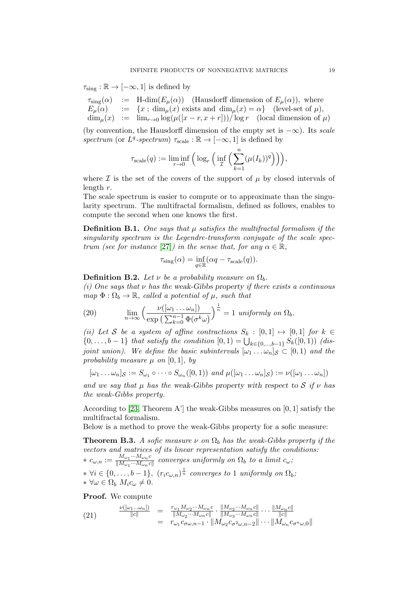$\tau_{\rm sing}: \mathbb{R} \to [-\infty, 1]$  is defined by

 $\tau_{\text{sing}}(\alpha)$  := H-dim $(E_{\mu}(\alpha))$  (Hausdorff dimension of  $E_{\mu}(\alpha)$ ), where  $E_{\mu}(\alpha)$  :=  $\{x \,;\, \dim_{\mu}(x) \text{ exists and } \dim_{\mu}(x) = \alpha\}$  (level-set of  $\mu$ ),  $\dim_{\mu}(x) := \lim_{r\to 0} \log(\mu([x-r, x+r]))/\log r$  (local dimension of  $\mu$ )

(by convention, the Hausdorff dimension of the empty set is  $-\infty$ ). Its scale spectrum (or  $L^q$ -spectrum)  $\tau_{scale} : \mathbb{R} \to [-\infty, 1]$  is defined by

$$
\tau_{\text{scale}}(q) := \liminf_{r \to 0} \Big( \log_r \Big( \inf_{\mathcal{I}} \Big( \sum_{k=1}^n (\mu(I_k))^q \Big) \Big) \Big),\,
$$

where  $\mathcal I$  is the set of the covers of the support of  $\mu$  by closed intervals of length r.

The scale spectrum is easier to compute or to approximate than the singularity spectrum. The multifractal formalism, defined as follows, enables to compute the second when one knows the first.

**Definition B.1.** One says that  $\mu$  satisfies the multifractal formalism if the singularity spectrum is the Legendre-transform conjugate of the scale spec-trum (see for instance [\[27\]](#page-21-17)) in the sense that, for any  $\alpha \in \mathbb{R}$ ,

$$
\tau_{\rm sing}(\alpha) = \inf_{q \in \mathbb{R}} (\alpha q - \tau_{\rm scale}(q)).
$$

**Definition B.2.** Let  $\nu$  be a probability measure on  $\Omega_h$ .

(i) One says that  $\nu$  has the weak-Gibbs property if there exists a continuous map  $\Phi : \Omega_b \to \mathbb{R}$ , called a potential of  $\mu$ , such that

<span id="page-18-2"></span>(20) 
$$
\lim_{n \to \infty} \left( \frac{\nu([\omega_1 \dots \omega_n])}{\exp\left(\sum_{k=0}^{n-1} \Phi(\sigma^k \omega)\right)} \right)^{\frac{1}{n}} = 1 \text{ uniformly on } \Omega_b.
$$

(ii) Let S be a system of affine contractions  $S_k : [0,1] \mapsto [0,1]$  for  $k \in$  $\{0, \ldots, b-1\}$  that satisfy the condition  $[0,1) = \bigcup_{k \in \{0, \ldots, b-1\}} S_k([0,1))$  (disjoint union). We define the basic subintervals  $[\omega_1 \dots \omega_n]_{\mathcal{S}} \subset [0,1]$  and the probability measure  $\mu$  on [0, 1], by

$$
[\omega_1 \dots \omega_n]_{\mathcal{S}} := S_{\omega_1} \circ \dots \circ S_{\omega_n}([0,1)) \text{ and } \mu([\omega_1 \dots \omega_n]_{\mathcal{S}}) := \nu([\omega_1 \dots \omega_n])
$$

and we say that  $\mu$  has the weak-Gibbs property with respect to S if  $\nu$  has the weak-Gibbs property.

According to [\[23,](#page-21-3) Theorem A'] the weak-Gibbs measures on  $[0, 1]$  satisfy the multifractal formalism.

Below is a method to prove the weak-Gibbs property for a sofic measure:

<span id="page-18-0"></span>**Theorem B.3.** A sofic measure  $\nu$  on  $\Omega_b$  has the weak-Gibbs property if the vectors and matrices of its linear representation satisfy the conditions:  $* c_{\omega,n} := \frac{M_{\omega_1}\cdots M_{\omega_n}c}{\|M_{\omega_1}\cdots M_{\omega_n}c}$  $\frac{M_{\omega_1} \cdots M_{\omega_n} c}{\|M_{\omega_1} \cdots M_{\omega_n} c\|}$  converges uniformly on  $\Omega_b$  to a limit  $c_{\omega}$ ;  $* \forall i \in \{0, \ldots, b-1\}, \ (r_i c_{\omega,n})^{\frac{1}{n}}$  converges to 1 uniformly on  $\Omega_b$ ; ∗ ∀ω ∈ Ω<sub>b</sub>  $M_i c_\omega \neq 0$ .

Proof. We compute

<span id="page-18-1"></span>(21) 
$$
\frac{\nu([\omega_1...\omega_n])}{\|c\|} = \frac{r_{\omega_1}M_{\omega_2}\cdots M_{\omega_n}c}{\|M_{\omega_2}\cdots M_{\omega_n}c\|} \cdot \frac{\|M_{\omega_2}\cdots M_{\omega_n}c\|}{\|M_{\omega_3}\cdots M_{\omega_n}c\|} \cdots \frac{\|M_{\omega_n}c\|}{\|c\|} = r_{\omega_1}c_{\sigma\omega,n-1} \cdot \|M_{\omega_2}c_{\sigma^2\omega,n-2}\| \cdots \|M_{\omega_n}c_{\sigma^n\omega,0}\|
$$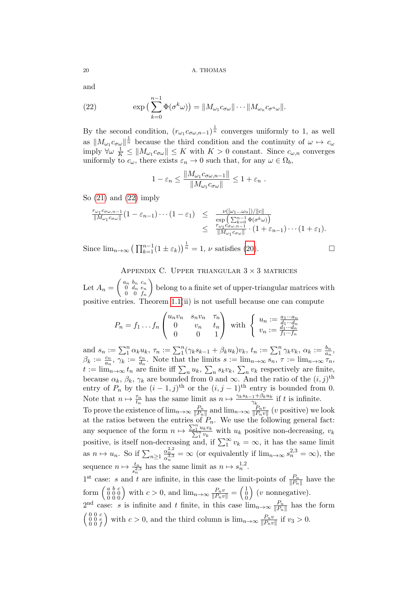and

<span id="page-19-0"></span>(22) 
$$
\exp\left(\sum_{k=0}^{n-1} \Phi(\sigma^k \omega)\right) = \|M_{\omega_1} c_{\sigma \omega}\| \cdots \|M_{\omega_n} c_{\sigma^n \omega}\|.
$$

By the second condition,  $(r_{\omega_1} c_{\sigma \omega,n-1})^{\frac{1}{n}}$  converges uniformly to 1, as well as  $||M_{\omega_1} c_{\sigma \omega}||^{\frac{1}{n}}$  because the third condition and the continuity of  $\omega \mapsto c_{\omega}$ imply  $\forall \omega \frac{1}{K} \leq ||M_{\omega_1} c_{\sigma \omega}|| \leq K$  with  $K > 0$  constant. Since  $c_{\omega,n}$  converges uniformly to  $c_{\omega}$ , there exists  $\varepsilon_n \to 0$  such that, for any  $\omega \in \Omega_b$ ,

$$
1 - \varepsilon_n \le \frac{\|M_{\omega_1} c_{\sigma \omega, n-1}\|}{\|M_{\omega_1} c_{\sigma \omega}\|} \le 1 + \varepsilon_n.
$$

So  $(21)$  and  $(22)$  imply

$$
\frac{r_{\omega_1}c_{\sigma\omega,n-1}}{\|M_{\omega_1}c_{\sigma\omega}\|}(1-\varepsilon_{n-1})\cdots(1-\varepsilon_1) \leq \frac{\nu([\omega_1...\omega_n])/\|c\|}{\exp\left(\sum_{k=0}^{n-1}\Phi(\sigma^k\omega)\right)}\\ \leq \frac{r_{\omega_1}c_{\sigma\omega,n-1}}{\|M_{\omega_1}c_{\sigma\omega}\|}\cdot(1+\varepsilon_{n-1})\cdots(1+\varepsilon_1).
$$

Since  $\lim_{n\to\infty} \left(\prod_{k=1}^{n-1} (1 \pm \varepsilon_k)\right)^{\frac{1}{n}} = 1$ ,  $\nu$  satisfies [\(20\)](#page-18-2).

# APPENDIX C. UPPER TRIANGULAR  $3 \times 3$  matrices

Let  $A_n = \left( \begin{array}{ll} a_n & b_n & c_n \ 0 & d_n & e_n \ 0 & 0 & c_n \end{array} \right)$  $0 \t d_n \t e_n$  $0 \t 0 \t f_n$  belong to a finite set of upper-triangular matrices with positive entries. Theorem [1.1\(](#page-4-0)ii) is not usefull because one can compute

$$
P_n = f_1 \dots f_n \begin{pmatrix} u_n v_n & s_n v_n & \tau_n \\ 0 & v_n & t_n \\ 0 & 0 & 1 \end{pmatrix} \text{ with } \begin{cases} u_n := \frac{a_1 \cdots a_n}{d_1 \cdots d_n} \\ v_n := \frac{d_1 \cdots d_n}{f_1 \cdots f_n} \end{cases}
$$

and  $s_n := \sum_1^n \alpha_k u_k$ ,  $\tau_n := \sum_1^n (\gamma_k s_{k-1} + \beta_k u_k) v_k$ ,  $t_n := \sum_1^n \gamma_k v_k$ ,  $\alpha_k := \frac{b_n}{a_n}$ ,  $\beta_k := \frac{c_n}{a_n}, \ \gamma_k := \frac{e_n}{d_n}.$  Note that the limits  $s := \lim_{n \to \infty} s_n, \ \tau := \lim_{n \to \infty} \tau_n$  $t := \lim_{n \to \infty} t_n$  are finite iff  $\sum_n u_k$ ,  $\sum_n s_k v_k$ ,  $\sum_n v_k$  respectively are finite, because  $\alpha_k$ ,  $\beta_k$ ,  $\gamma_k$  are bounded from 0 and  $\infty$ . And the ratio of the  $(i, j)$ <sup>th</sup> entry of  $P_n$  by the  $(i-1,j)$ <sup>th</sup> or the  $(i, j-1)$ <sup>th</sup> entry is bounded from 0. Note that  $n \mapsto \frac{\tau_n}{t_n}$  has the same limit as  $n \mapsto \frac{\gamma_k s_{k-1} + \beta_k u_k}{\gamma_k}$  $\frac{1 + \rho_k u_k}{\gamma_k}$  if t is infinite. To prove the existence of  $\lim_{n\to\infty} \frac{P_n}{\|P_n\|}$  $\frac{P_n}{\|P_n\|}$  and  $\lim_{n\to\infty} \frac{P_n v}{\|P_n v}$  $\frac{P_n v}{\|P_n v\|}$  (*v* positive) we look at the ratios between the entries of  $P_n$ . We use the following general fact: any sequence of the form  $n \mapsto \frac{\sum_{1}^{n} u_k v_k}{\sum_{1}^{n} v_k}$  with  $u_k$  positive non-decreasing,  $v_k$ positive, is itself non-decreasing and, if  $\sum_{1}^{\infty} v_k = \infty$ , it has the same limit as  $n \mapsto u_n$ . So if  $\sum_{n\geq 1} \frac{\alpha_n^{2,2}}{\alpha_n^{3,3}} = \infty$  (or equivalently if  $\lim_{n\to\infty} s_n^{2,3} = \infty$ ), the sequence  $n \mapsto \frac{t_n}{s_n^{2,3}}$  has the same limit as  $n \mapsto s_n^{1,2}$ .  $1^{\text{st}}$  case: s and t are infinite, in this case the limit-points of  $\frac{P_n}{\|P_n\|}$  have the form  $\begin{pmatrix} a & b & c \\ 0 & 0 & 0 \\ 0 & 0 & 0 \end{pmatrix}$  with  $c > 0$ , and  $\lim_{n \to \infty} \frac{P_n v}{\|P_n v\|} = \begin{pmatrix} 1 \\ 0 \\ 0 \end{pmatrix}$  $\big)$  (*v* nonnegative).  $2^{\text{nd}}$  case: s is infinite and t finite, in this case  $\lim_{n\to\infty} \frac{P_n}{\|P_n\|}$  $\frac{P_n}{\|P_n\|}$  has the form  $\left( \begin{smallmatrix} 0 & 0 & c \\ 0 & 0 & e \\ 0 & 0 & f \end{smallmatrix} \right)$ ) with  $c > 0$ , and the third column is  $\lim_{n \to \infty} \frac{P_n v}{\|P_n v\|}$  $\frac{P_n v}{\|P_n v\|}$  if  $v_3 > 0$ .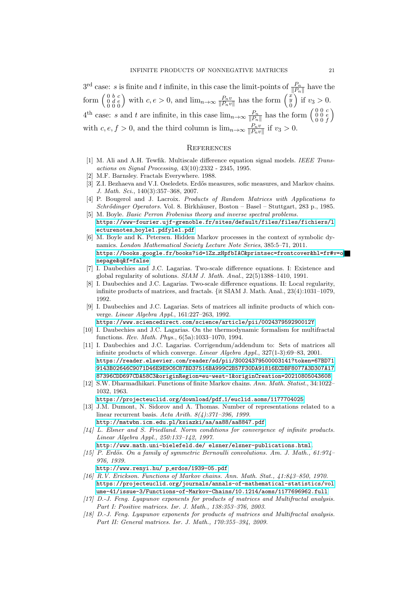$3^{\text{rd}}$  case: s is finite and t infinite, in this case the limit-points of  $\frac{P_n}{\|P_n\|}$  have the form  $\begin{pmatrix} 0 & b & c \\ 0 & d & e \\ 0 & 0 & 0 \end{pmatrix}$  with  $c, e > 0$ , and  $\lim_{n \to \infty} \frac{P_n v}{\|P_n v}$  $\frac{P_n v}{\|P_n v\|}$  has the form  $\begin{pmatrix} x \\ y \\ 0 \end{pmatrix}$ 0 ) if  $v_3 > 0$ .  $4^{\text{th}}$  case: s and t are infinite, in this case  $\lim_{n\to\infty} \frac{P_n}{\|P_n\|}$  $\frac{P_n}{\|P_n\|}$  has the form  $\begin{pmatrix} 0 & 0 & c \\ 0 & 0 & e \\ 0 & 0 & f \end{pmatrix}$  $\setminus$ with  $c, e, f > 0$ , and the third column is  $\lim_{n\to\infty} \frac{P_n v}{\|P_n v\|}$  $\frac{P_n v}{\|P_n v\|}$  if  $v_3 > 0$ .

## **REFERENCES**

- <span id="page-20-9"></span>[1] M. Ali and A.H. Tewfik. Multiscale difference equation signal models. IEEE Transactions on Signal Processing, 43(10):2332 - 2345, 1995.
- <span id="page-20-6"></span>[2] M.F. Barnsley. Fractals Everywhere. 1988.
- <span id="page-20-13"></span>[3] Z.I. Bezhaeva and V.I. Oseledets. Erdős measures, sofic measures, and Markov chains. J. Math. Sci., 140(3):357–368, 2007.
- <span id="page-20-3"></span>[4] P. Bougerol and J. Lacroix. Products of Random Matrices with Applications to Schrődinger Operators. Vol. 8. Birkhäuser, Boston – Basel – Stuttgart, 283 p., 1985.
- <span id="page-20-11"></span>[5] M. Boyle. Basic Perron Frobenius theory and inverse spectral problems. [https://www-fourier.ujf-grenoble.fr/sites/default/files/files/fichiers/l](https://www-fourier.ujf-grenoble.fr/sites/default/files/files/fichiers/lecturenotes_boyle1.pdf) ecturenotes [boyle1.pdfyle1.pdf](https://www-fourier.ujf-grenoble.fr/sites/default/files/files/fichiers/lecturenotes_boyle1.pdf)
- <span id="page-20-0"></span>[6] M. Boyle and K. Petersen. Hidden Markov processes in the context of symbolic dynamics. London Mathematical Society Lecture Note Series, 385:5–71, 2011. https://books.google.fr/books?id=1Zz [zHpfbIAC&printsec=frontcover&hl=fr#v=o](https://books.google.fr/books?id=1Zz_zHpfbIAC&printsec=frontcover&hl=fr#v=onepage&q&f=false) [nepage&q&f=false](https://books.google.fr/books?id=1Zz_zHpfbIAC&printsec=frontcover&hl=fr#v=onepage&q&f=false)
- <span id="page-20-7"></span>[7] I. Daubechies and J.C. Lagarias. Two-scale difference equations. I: Existence and global regularity of solutions. SIAM J. Math. Anal., 22(5)1388–1410, 1991.
- <span id="page-20-8"></span>[8] I. Daubechies and J.C. Lagarias. Two-scale difference equations. II: Local regularity, infinite products of matrices, and fractals. {it SIAM J. Math. Anal., 23(4):1031–1079, 1992.
- <span id="page-20-5"></span>[9] I. Daubechies and J.C. Lagarias. Sets of matrices all infinite products of which converge. Linear Algebra Appl., 161:227–263, 1992.

<https://www.sciencedirect.com/science/article/pii/002437959290012Y> [10] I. Daubechies and J.C. Lagarias. On the thermodynamic formalism for multifractal

- <span id="page-20-17"></span>functions. Rev. Math. Phys., 6(5a):1033–1070, 1994.
- <span id="page-20-12"></span>[11] I. Daubechies and J.C. Lagarias. Corrigendum/addendum to: Sets of matrices all infinite products of which converge. Linear Algebra Appl., 327(1-3):69–83, 2001. [https://reader.elsevier.com/reader/sd/pii/S0024379500003141?token=67BD71](https://reader.elsevier.com/reader/sd/pii/S0024379500003141?token=67BD719143B02646C9071D46E9E9C6C87BD37516BA999C2B57F30DA91816ECDBF8077A3D307A1787396CDD697CDA58C3&originRegion=eu-west-1&originCreation=20210805043608) [9143B02646C9071D46E9E9C6C87BD37516BA999C2B57F30DA91816ECDBF8077A3D307A17](https://reader.elsevier.com/reader/sd/pii/S0024379500003141?token=67BD719143B02646C9071D46E9E9C6C87BD37516BA999C2B57F30DA91816ECDBF8077A3D307A1787396CDD697CDA58C3&originRegion=eu-west-1&originCreation=20210805043608) [87396CDD697CDA58C3&originRegion=eu-west-1&originCreation=20210805043608](https://reader.elsevier.com/reader/sd/pii/S0024379500003141?token=67BD719143B02646C9071D46E9E9C6C87BD37516BA999C2B57F30DA91816ECDBF8077A3D307A1787396CDD697CDA58C3&originRegion=eu-west-1&originCreation=20210805043608)
- <span id="page-20-14"></span>[12] S.W. Dharmadhikari. Functions of finite Markov chains. Ann. Math. Statist., 34:1022– 1032, 1963.

[https://projecteuclid.org/download/pdf](https://projecteuclid.org/download/pdf_1/euclid.aoms/1177704025) 1/euclid.aoms/1177704025

- <span id="page-20-10"></span>[13] J.M. Dumont, N. Sidorov and A. Thomas. Number of representations related to a linear recurrent basis. Acta Arith. 8(4):371–396, 1999.
	- <http://matwbn.icm.edu.pl/ksiazki/aa/aa88/aa8847.pdf>
- <span id="page-20-4"></span>[14] L. Elsner and S. Friedland. Norm conditions for convergence of infinite products. Linear Algebra Appl., 250:133–142, 1997.
- <span id="page-20-2"></span>[http://www.math.uni-bielefeld.de/ elsner/elsner-publications.html](http://www.math.uni-bielefeld.de/~elsner/elsner-publications.html). [15] P. Erdös. On a family of symmetric Bernoulli convolutions. Am. J. Math.,  $61.974$ 976, 1939.

[http://www.renyi.hu/ p](http://www.renyi.hu/~p_erdos/1939-05.pdf)\_erdos/1939-05.pdf

- <span id="page-20-1"></span>[16] R.V. Erickson. Functions of Markov chains. Ann. Math. Stat., 41:843–850, 1970. [https://projecteuclid.org/journals/annals-of-mathematical-statistics/vol](https://projecteuclid.org/journals/annals-of-mathematical-statistics/volume-41/issue-3/Functions-of-Markov-Chains/10.1214/aoms/1177696962.full) [ume-41/issue-3/Functions-of-Markov-Chains/10.1214/aoms/1177696962.full](https://projecteuclid.org/journals/annals-of-mathematical-statistics/volume-41/issue-3/Functions-of-Markov-Chains/10.1214/aoms/1177696962.full)
- <span id="page-20-15"></span>[17] D.-J. Feng. Lyapunov exponents for products of matrices and Multifractal analysis. Part I: Positive matrices. Isr. J. Math., 138:353–376, 2003.
- <span id="page-20-16"></span>[18] D.-J. Feng. Lyapunov exponents for products of matrices and Multifractal analysis. Part II: General matrices. Isr. J. Math., 170:355–394, 2009.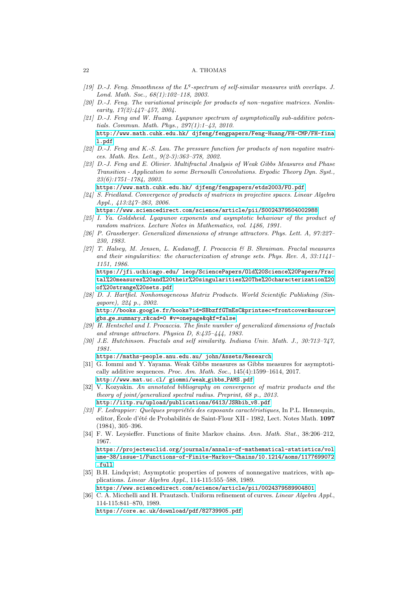- <span id="page-21-10"></span>[19] D.-J. Feng. Smoothness of the  $L^q$ -spectrum of self-similar measures with overlaps. J. Lond. Math. Soc., 68(1):102–118, 2003.
- <span id="page-21-11"></span>[20] D.-J. Feng. The variational principle for products of non–negative matrices. Nonlinearity,  $17(2):447-457$ ,  $2004$ .
- <span id="page-21-12"></span>[21] D.-J. Feng and W. Huang. Lyapunov spectrum of asymptotically sub-additive potentials. Commun. Math. Phys., 297(1):1–43, 2010. [http://www.math.cuhk.edu.hk/ djfeng/fengpapers/Feng-Huang/FH-CMP/FH-fina](http://www.math.cuhk.edu.hk/~djfeng/fengpapers/Feng-Huang/FH-CMP/FH-final.pdf) [l.pdf](http://www.math.cuhk.edu.hk/~djfeng/fengpapers/Feng-Huang/FH-CMP/FH-final.pdf)
- <span id="page-21-9"></span>[22] D.-J. Feng and K.-S. Lau. The pressure function for products of non negative matrices. Math. Res. Lett., 9(2-3):363–378, 2002.
- <span id="page-21-3"></span>[23] D.-J. Feng and E. Olivier. Multifractal Analysis of Weak Gibbs Measures and Phase Transition - Application to some Bernoulli Convolutions. Ergodic Theory Dyn. Syst., 23(6):1751–1784, 2003.
- [https://www.math.cuhk.edu.hk/ djfeng/fengpapers/etds2003/FO.pdf](https://www.math.cuhk.edu.hk/~djfeng/fengpapers/etds2003/FO.pdf)
- <span id="page-21-5"></span>[24] S. Friedland. Convergence of products of matrices in projective spaces. Linear Algebra Appl., 413:247–263, 2006.
	- <https://www.sciencedirect.com/science/article/pii/S0024379504002988>
- <span id="page-21-6"></span>[25] I. Ya. Goldsheid. Lyapunov exponents and asymptotic behaviour of the product of random matrices. Lecture Notes in Mathematics, vol. 1486, 1991.
- <span id="page-21-15"></span>[26] P. Grassberger. Generalized dimensions of strange attractors. Phys. Lett. A, 97:227– 230, 1983.
- <span id="page-21-17"></span>[27] T. Halsey, M. Jensen, L. Kadanoff, I. Procaccia & B. Shraiman. Fractal measures and their singularities: the characterization of strange sets. Phys. Rev. A, 33:1141– 1151, 1986.

[https://jfi.uchicago.edu/ leop/SciencePapers/Old%20Science%20Papers/Frac](https://jfi.uchicago.edu/~leop/SciencePapers/Old%20Science%20Papers/Fractal%20measures%20and%20their%20singularities%20The%20characterization%20of%20strange%20sets.pdf) [tal%20measures%20and%20their%20singularities%20The%20characterization%20](https://jfi.uchicago.edu/~leop/SciencePapers/Old%20Science%20Papers/Fractal%20measures%20and%20their%20singularities%20The%20characterization%20of%20strange%20sets.pdf) [of%20strange%20sets.pdf](https://jfi.uchicago.edu/~leop/SciencePapers/Old%20Science%20Papers/Fractal%20measures%20and%20their%20singularities%20The%20characterization%20of%20strange%20sets.pdf)

<span id="page-21-14"></span>[28] D. J. Hartfiel. Nonhomogeneous Matrix Products. World Scientific Publishing (Singapore), 224 p., 2002.

[http://books.google.fr/books?id=SBbzffGTmEsC&printsec=frontcover&source=](http://books.google.fr/books?id=SBbzffGTmEsC&printsec=frontcover&source=gbs_ge_summary_r&cad=0#v=onepage&q&f=false) gbs ge summary [r&cad=0 #v=onepage&q&f=false](http://books.google.fr/books?id=SBbzffGTmEsC&printsec=frontcover&source=gbs_ge_summary_r&cad=0#v=onepage&q&f=false)

- <span id="page-21-16"></span>[29] H. Hentschel and I. Procaccia. The finite number of generalized dimensions of fractals and strange attractors. Physica D, 8:435–444, 1983.
- <span id="page-21-1"></span>[30] J.E. Hutchinson. Fractals and self similarity. Indiana Univ. Math. J., 30:713–747, 1981.

[https://maths-people.anu.edu.au/ john/Assets/Research](https://maths-people.anu.edu.au/~john/Assets/Research%20Papers/fractals_self-similarity.pdf)

- <span id="page-21-4"></span>[31] G. Iommi and Y. Yayama. Weak Gibbs measures as Gibbs measures for asymptotically additive sequences. Proc. Am. Math. Soc., 145(4):1599–1614, 2017. [http://www.mat.uc.cl/ giommi/weak](http://www.mat.uc.cl/~giommi/weak_gibbs_PAMS.pdf) gibbs PAMS.pdf
- <span id="page-21-7"></span>[32] V. Kozyakin. An annotated bibliography on convergence of matrix products and the theory of joint/generalized spectral radius. Preprint, 68 p., 2013. [http://iitp.ru/upload/publications/6413/JSRbib](http://iitp.ru/upload/publications/6413/JSRbib_v8.pdf)\_v8.pdf
- <span id="page-21-13"></span>[33] F. Ledrappier: Quelques propriétés des exposants caractéristiques, In P.L. Hennequin, editor, École d'été de Probabilités de Saint-Flour XII - 1982, Lect. Notes Math. 1097 (1984), 305–396.
- <span id="page-21-0"></span>[34] F. W. Leysieffer. Functions of finite Markov chains. Ann. Math. Stat., 38:206–212, 1967.

[https://projecteuclid.org/journals/annals-of-mathematical-statistics/vol](https://projecteuclid.org/journals/annals-of-mathematical-statistics/volume-38/issue-1/Functions-of-Finite-Markov-Chains/10.1214/aoms/1177699072.full) [ume-38/issue-1/Functions-of-Finite-Markov-Chains/10.1214/aoms/1177699072](https://projecteuclid.org/journals/annals-of-mathematical-statistics/volume-38/issue-1/Functions-of-Finite-Markov-Chains/10.1214/aoms/1177699072.full) [.full](https://projecteuclid.org/journals/annals-of-mathematical-statistics/volume-38/issue-1/Functions-of-Finite-Markov-Chains/10.1214/aoms/1177699072.full)

- <span id="page-21-8"></span>[35] B.H. Lindqvist; Asymptotic properties of powers of nonnegative matrices, with applications. *Linear Algebra Appl.*, 114-115:555-588, 1989.
- <span id="page-21-2"></span><https://www.sciencedirect.com/science/article/pii/0024379589904801> [36] C. A. Micchelli and H. Prautzsch. Uniform refinement of curves. Linear Algebra Appl., 114-115:841–870, 1989.

<https://core.ac.uk/download/pdf/82739905.pdf>